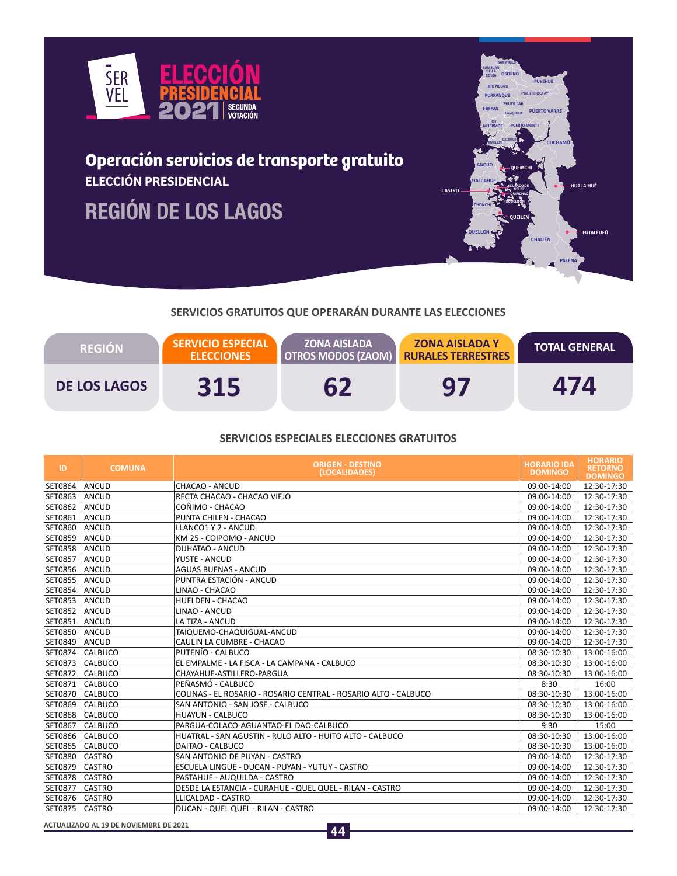

# **Operación servicios de transporte gratuito ELECCIÓN PRESIDENCIAL**

**REGIÓN DE LOS LAGOS**



# **SERVICIOS GRATUITOS QUE OPERARÁN DURANTE LAS ELECCIONES**

| <b>REGION</b>       | <b>SERVICIO ESPECIAL</b><br><b>ELECCIONES</b> | <b>ZONA AISLADA</b><br><b>OTROS MODOS (ZAOM)</b> | <b>ZONA AISLADA Y</b><br><b>RURALES TERRESTRES</b> | <b>TOTAL GENERAL</b> |
|---------------------|-----------------------------------------------|--------------------------------------------------|----------------------------------------------------|----------------------|
| <b>DE LOS LAGOS</b> | 315                                           |                                                  | 97                                                 | 474                  |

#### **SERVICIOS ESPECIALES ELECCIONES GRATUITOS**

| ID             | <b>COMUNA</b>  | <b>ORIGEN - DESTINO</b><br>(LOCALIDADES)                        | <b>HORARIO IDA</b><br><b>DOMINGO</b> | <b>HORARIO</b><br><b>RETORNO</b><br><b>DOMINGO</b> |
|----------------|----------------|-----------------------------------------------------------------|--------------------------------------|----------------------------------------------------|
| SET0864        | ANCUD          | CHACAO - ANCUD                                                  | 09:00-14:00                          | 12:30-17:30                                        |
| SET0863        | ANCUD          | RECTA CHACAO - CHACAO VIEJO                                     | 09:00-14:00                          | 12:30-17:30                                        |
| SET0862        | ANCUD          | COÑIMO - CHACAO                                                 | 09:00-14:00                          | 12:30-17:30                                        |
| SET0861        | ANCUD          | PUNTA CHILEN - CHACAO                                           | 09:00-14:00                          | 12:30-17:30                                        |
| SET0860        | ANCUD          | LLANCO1 Y 2 - ANCUD                                             | 09:00-14:00                          | 12:30-17:30                                        |
| <b>SET0859</b> | ANCUD          | KM 25 - COIPOMO - ANCUD                                         | 09:00-14:00                          | 12:30-17:30                                        |
| <b>SET0858</b> | ANCUD          | <b>DUHATAO - ANCUD</b>                                          | 09:00-14:00                          | 12:30-17:30                                        |
| SET0857        | ANCUD          | YUSTE - ANCUD                                                   | 09:00-14:00                          | 12:30-17:30                                        |
| SET0856        | ANCUD          | <b>AGUAS BUENAS - ANCUD</b>                                     | 09:00-14:00                          | 12:30-17:30                                        |
| SET0855        | ANCUD          | PUNTRA ESTACIÓN - ANCUD                                         | 09:00-14:00                          | 12:30-17:30                                        |
| SET0854        | ANCUD          | LINAO - CHACAO                                                  | 09:00-14:00                          | 12:30-17:30                                        |
| SET0853        | <b>ANCUD</b>   | HUELDEN - CHACAO                                                | 09:00-14:00                          | 12:30-17:30                                        |
| SET0852        | ANCUD          | LINAO - ANCUD                                                   | 09:00-14:00                          | 12:30-17:30                                        |
| SET0851        | ANCUD          | LA TIZA - ANCUD                                                 | 09:00-14:00                          | 12:30-17:30                                        |
| SET0850        | ANCUD          | TAIQUEMO-CHAQUIGUAL-ANCUD                                       | 09:00-14:00                          | 12:30-17:30                                        |
| SET0849        | ANCUD          | CAULIN LA CUMBRE - CHACAO                                       | 09:00-14:00                          | 12:30-17:30                                        |
| SET0874        | <b>CALBUCO</b> | PUTENÍO - CALBUCO                                               | 08:30-10:30                          | 13:00-16:00                                        |
| SET0873        | CALBUCO        | EL EMPALME - LA FISCA - LA CAMPANA - CALBUCO                    | 08:30-10:30                          | 13:00-16:00                                        |
| SET0872        | <b>CALBUCO</b> | CHAYAHUE-ASTILLERO-PARGUA                                       | 08:30-10:30                          | 13:00-16:00                                        |
| SET0871        | <b>CALBUCO</b> | PEÑASMÓ - CALBUCO                                               | 8:30                                 | 16:00                                              |
| SET0870        | <b>CALBUCO</b> | COLINAS - EL ROSARIO - ROSARIO CENTRAL - ROSARIO ALTO - CALBUCO | 08:30-10:30                          | 13:00-16:00                                        |
| SET0869        | <b>CALBUCO</b> | SAN ANTONIO - SAN JOSE - CALBUCO                                | 08:30-10:30                          | 13:00-16:00                                        |
| <b>SET0868</b> | <b>CALBUCO</b> | <b>HUAYUN - CALBUCO</b>                                         | 08:30-10:30                          | 13:00-16:00                                        |
| SET0867        | <b>CALBUCO</b> | PARGUA-COLACO-AGUANTAO-EL DAO-CALBUCO                           | 9:30                                 | 15:00                                              |
| SET0866        | CALBUCO        | HUATRAL - SAN AGUSTIN - RULO ALTO - HUITO ALTO - CALBUCO        | 08:30-10:30                          | 13:00-16:00                                        |
| SET0865        | CALBUCO        | DAITAO - CALBUCO                                                | 08:30-10:30                          | 13:00-16:00                                        |
| <b>SET0880</b> | <b>CASTRO</b>  | SAN ANTONIO DE PUYAN - CASTRO                                   | 09:00-14:00                          | 12:30-17:30                                        |
| SET0879        | <b>CASTRO</b>  | ESCUELA LINGUE - DUCAN - PUYAN - YUTUY - CASTRO                 | 09:00-14:00                          | 12:30-17:30                                        |
| SET0878        | <b>CASTRO</b>  | PASTAHUE - AUQUILDA - CASTRO                                    | 09:00-14:00                          | 12:30-17:30                                        |
| SET0877        | <b>CASTRO</b>  | DESDE LA ESTANCIA - CURAHUE - QUEL QUEL - RILAN - CASTRO        | 09:00-14:00                          | 12:30-17:30                                        |
| SET0876        | <b>CASTRO</b>  | LLICALDAD - CASTRO                                              | 09:00-14:00                          | 12:30-17:30                                        |
| SET0875        | <b>CASTRO</b>  | DUCAN - QUEL QUEL - RILAN - CASTRO                              | 09:00-14:00                          | 12:30-17:30                                        |

**ACTUALIZADO AL 19 DE NOVIEMBRE DE 2021**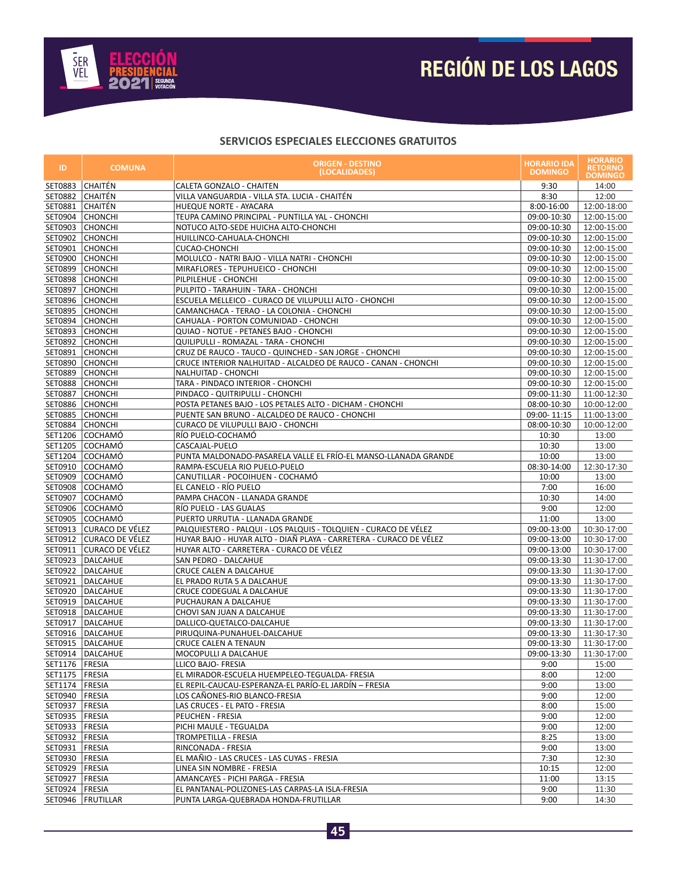

# **REGIÓN DE LOS LAGOS**

| ID.                                | <b>COMUNA</b>                      | <b>HORARIO IDA</b><br><b>ORIGEN - DESTINO</b><br>(LOCALIDADES)                                         |                            | <b>HORARIO</b><br><b>RETORNO</b><br><b>DOMINGO</b> |
|------------------------------------|------------------------------------|--------------------------------------------------------------------------------------------------------|----------------------------|----------------------------------------------------|
| SET0883                            | CHAITÉN                            | CALETA GONZALO - CHAITEN                                                                               | 9:30                       | 14:00                                              |
| SET0882 CHAITÉN                    |                                    | VILLA VANGUARDIA - VILLA STA. LUCIA - CHAITÉN                                                          | 8:30                       | 12:00                                              |
| SET0881                            | <b>CHAITÉN</b>                     | HUEQUE NORTE - AYACARA                                                                                 | 8:00-16:00                 | 12:00-18:00                                        |
|                                    | SET0904 CHONCHI                    | TEUPA CAMINO PRINCIPAL - PUNTILLA YAL - CHONCHI                                                        | 09:00-10:30                | 12:00-15:00                                        |
|                                    | SET0903 CHONCHI                    | NOTUCO ALTO-SEDE HUICHA ALTO-CHONCHI                                                                   | 09:00-10:30                | 12:00-15:00                                        |
| SET0902                            | <b>CHONCHI</b>                     | HUILLINCO-CAHUALA-CHONCHI                                                                              | 09:00-10:30                | 12:00-15:00                                        |
|                                    | SET0901 CHONCHI                    | <b>CUCAO-CHONCHI</b>                                                                                   | 09:00-10:30                | 12:00-15:00                                        |
|                                    | SET0900 CHONCHI                    | MOLULCO - NATRI BAJO - VILLA NATRI - CHONCHI                                                           | 09:00-10:30                | 12:00-15:00                                        |
|                                    | SET0899 CHONCHI                    | MIRAFLORES - TEPUHUEICO - CHONCHI                                                                      | 09:00-10:30                | 12:00-15:00                                        |
|                                    | SET0898 CHONCHI                    | PILPILEHUE - CHONCHI                                                                                   | 09:00-10:30                | 12:00-15:00                                        |
|                                    | SET0897 CHONCHI                    | PULPITO - TARAHUIN - TARA - CHONCHI                                                                    | 09:00-10:30                | 12:00-15:00                                        |
|                                    | SET0896 CHONCHI                    | ESCUELA MELLEICO - CURACO DE VILUPULLI ALTO - CHONCHI                                                  | 09:00-10:30                | 12:00-15:00                                        |
|                                    | SET0895 CHONCHI                    | CAMANCHACA - TERAO - LA COLONIA - CHONCHI                                                              | 09:00-10:30                | 12:00-15:00                                        |
|                                    | SET0894 CHONCHI                    | CAHUALA - PORTON COMUNIDAD - CHONCHI                                                                   | 09:00-10:30                | 12:00-15:00                                        |
|                                    | SET0893 CHONCHI                    | QUIAO - NOTUE - PETANES BAJO - CHONCHI                                                                 | 09:00-10:30                | 12:00-15:00                                        |
|                                    | SET0892 CHONCHI                    | QUILIPULLI - ROMAZAL - TARA - CHONCHI                                                                  | 09:00-10:30                | 12:00-15:00                                        |
|                                    | SET0891 CHONCHI                    | CRUZ DE RAUCO - TAUCO - QUINCHED - SAN JORGE - CHONCHI                                                 | 09:00-10:30                | 12:00-15:00                                        |
|                                    | SET0890 CHONCHI                    | CRUCE INTERIOR NALHUITAD - ALCALDEO DE RAUCO - CANAN - CHONCHI                                         | 09:00-10:30                | 12:00-15:00                                        |
|                                    | SET0889 CHONCHI                    | NALHUITAD - CHONCHI<br>TARA - PINDACO INTERIOR - CHONCHI                                               | 09:00-10:30                | 12:00-15:00                                        |
|                                    | SET0888 CHONCHI<br>SET0887 CHONCHI | PINDACO - QUITRIPULLI - CHONCHI                                                                        | 09:00-10:30<br>09:00-11:30 | 12:00-15:00                                        |
|                                    | SET0886 CHONCHI                    | POSTA PETANES BAJO - LOS PETALES ALTO - DICHAM - CHONCHI                                               | 08:00-10:30                | 11:00-12:30<br>10:00-12:00                         |
|                                    | SET0885 CHONCHI                    | PUENTE SAN BRUNO - ALCALDEO DE RAUCO - CHONCHI                                                         | 09:00-11:15                | 11:00-13:00                                        |
|                                    | SET0884 CHONCHI                    | CURACO DE VILUPULLI BAJO - CHONCHI                                                                     | 08:00-10:30                | 10:00-12:00                                        |
|                                    | SET1206 COCHAMÓ                    | RÍO PUELO-COCHAMÓ                                                                                      | 10:30                      | 13:00                                              |
|                                    | SET1205 COCHAMÓ                    | CASCAJAL-PUELO                                                                                         | 10:30                      | 13:00                                              |
|                                    | SET1204 COCHAMÓ                    | PUNTA MALDONADO-PASARELA VALLE EL FRÍO-EL MANSO-LLANADA GRANDE                                         | 10:00                      | 13:00                                              |
|                                    | SET0910 COCHAMÓ                    | RAMPA-ESCUELA RIO PUELO-PUELO                                                                          | 08:30-14:00                | 12:30-17:30                                        |
| SET0909                            | <b>COCHAMÓ</b>                     | CANUTILLAR - POCOIHUEN - COCHAMÓ                                                                       | 10:00                      | 13:00                                              |
|                                    | SET0908 COCHAMÓ                    | EL CANELO - RÍO PUELO                                                                                  | 7:00                       | 16:00                                              |
| SET0907                            | <b>COCHAMÓ</b>                     | PAMPA CHACON - LLANADA GRANDE                                                                          | 10:30                      | 14:00                                              |
| SET0906                            | <b>COCHAMÓ</b>                     | RÍO PUELO - LAS GUALAS                                                                                 | 9:00                       | 12:00                                              |
|                                    | SET0905 COCHAMÓ                    | PUERTO URRUTIA - LLANADA GRANDE                                                                        | 11:00                      | 13:00                                              |
|                                    | SET0913 CURACO DE VÉLEZ            | PALQUIESTERO - PALQUI - LOS PALQUIS - TOLQUIEN - CURACO DE VÉLEZ                                       | 09:00-13:00                | 10:30-17:00                                        |
|                                    | SET0912 CURACO DE VÉLEZ            | HUYAR BAJO - HUYAR ALTO - DIAÑ PLAYA - CARRETERA - CURACO DE VÉLEZ                                     | 09:00-13:00                | 10:30-17:00                                        |
| SET0911                            | CURACO DE VÉLEZ                    | HUYAR ALTO - CARRETERA - CURACO DE VÉLEZ                                                               | 09:00-13:00                | 10:30-17:00                                        |
|                                    | SET0923   DALCAHUE                 | SAN PEDRO - DALCAHUE                                                                                   | 09:00-13:30                | 11:30-17:00                                        |
|                                    | SET0922 DALCAHUE                   | CRUCE CALEN A DALCAHUE                                                                                 | 09:00-13:30                | 11:30-17:00                                        |
| SET0921                            | DALCAHUE                           | EL PRADO RUTA 5 A DALCAHUE                                                                             | 09:00-13:30                | 11:30-17:00                                        |
| SET0920                            | DALCAHUE                           | CRUCE CODEGUAL A DALCAHUE                                                                              | 09:00-13:30                | 11:30-17:00                                        |
|                                    | SET0919   DALCAHUE                 | PUCHAURAN A DALCAHUE                                                                                   | 09:00-13:30                | 11:30-17:00                                        |
|                                    | SET0918   DALCAHUE                 | CHOVI SAN JUAN A DALCAHUE                                                                              | 09:00-13:30                | 11:30-17:00                                        |
|                                    | SET0917   DALCAHUE                 | DALLICO-QUETALCO-DALCAHUE                                                                              | 09:00-13:30                | 11:30-17:00                                        |
|                                    | SET0916 DALCAHUE                   | PIRUQUINA-PUNAHUEL-DALCAHUE                                                                            | 09:00-13:30                | 11:30-17:30                                        |
|                                    | SET0915   DALCAHUE                 | <b>CRUCE CALEN A TENAUN</b>                                                                            | 09:00-13:30                | 11:30-17:00                                        |
|                                    | SET0914 DALCAHUE                   | MOCOPULLI A DALCAHUE                                                                                   | 09:00-13:30                | 11:30-17:00                                        |
| SET1176   FRESIA                   |                                    | LLICO BAJO- FRESIA                                                                                     | 9:00                       | 15:00                                              |
| SET1175   FRESIA<br>SET1174 FRESIA |                                    | EL MIRADOR-ESCUELA HUEMPELEO-TEGUALDA- FRESIA<br>EL REPIL-CAUCAU-ESPERANZA-EL PARÍO-EL JARDÍN – FRESIA | 8:00<br>9:00               | 12:00                                              |
| SET0940   FRESIA                   |                                    | LOS CAÑONES-RIO BLANCO-FRESIA                                                                          | 9:00                       | 13:00<br>12:00                                     |
| SET0937   FRESIA                   |                                    | LAS CRUCES - EL PATO - FRESIA                                                                          | 8:00                       | 15:00                                              |
| SET0935   FRESIA                   |                                    | PEUCHEN - FRESIA                                                                                       | 9:00                       | 12:00                                              |
| SET0933   FRESIA                   |                                    | PICHI MAULE - TEGUALDA                                                                                 | 9:00                       | 12:00                                              |
| SET0932 FRESIA                     |                                    | TROMPETILLA - FRESIA                                                                                   | 8:25                       | 13:00                                              |
| SET0931   FRESIA                   |                                    | RINCONADA - FRESIA                                                                                     | 9:00                       | 13:00                                              |
| SET0930   FRESIA                   |                                    | EL MAÑIO - LAS CRUCES - LAS CUYAS - FRESIA                                                             | 7:30                       | 12:30                                              |
| SET0929   FRESIA                   |                                    | LINEA SIN NOMBRE - FRESIA                                                                              | 10:15                      | 12:00                                              |
| SET0927   FRESIA                   |                                    | AMANCAYES - PICHI PARGA - FRESIA                                                                       | 11:00                      | 13:15                                              |
| SET0924 FRESIA                     |                                    | EL PANTANAL-POLIZONES-LAS CARPAS-LA ISLA-FRESIA                                                        | 9:00                       | 11:30                                              |
|                                    | SET0946   FRUTILLAR                | PUNTA LARGA-QUEBRADA HONDA-FRUTILLAR                                                                   | 9:00                       | 14:30                                              |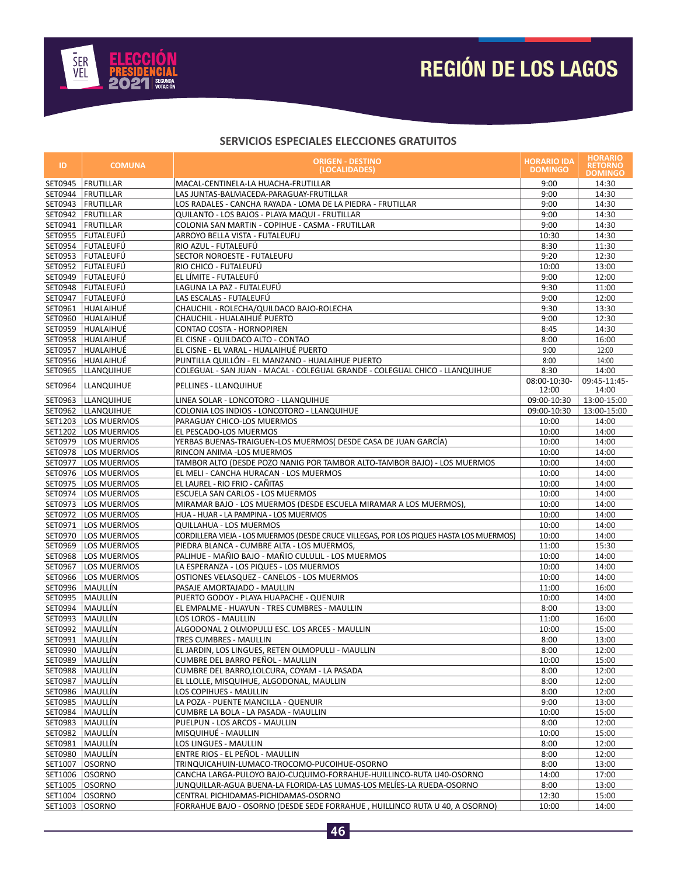

# **REGIÓN DE LOS LAGOS**

| ID.                | <b>COMUNA</b>              | <b>ORIGEN - DESTINO</b><br>(LOCALIDADES)                                                                           |                       | <b>HORARIO</b><br><b>RETORNO</b><br><b>DOMINGO</b> |
|--------------------|----------------------------|--------------------------------------------------------------------------------------------------------------------|-----------------------|----------------------------------------------------|
| SET0945            | <b>FRUTILLAR</b>           | MACAL-CENTINELA-LA HUACHA-FRUTILLAR                                                                                | 9:00                  | 14:30                                              |
|                    | SET0944   FRUTILLAR        | LAS JUNTAS-BALMACEDA-PARAGUAY-FRUTILLAR                                                                            | 9:00                  | 14:30                                              |
|                    | SET0943   FRUTILLAR        | LOS RADALES - CANCHA RAYADA - LOMA DE LA PIEDRA - FRUTILLAR                                                        | 9:00                  | 14:30                                              |
|                    | SET0942   FRUTILLAR        | QUILANTO - LOS BAJOS - PLAYA MAQUI - FRUTILLAR                                                                     | 9:00                  | 14:30                                              |
| SET0941            | FRUTILLAR                  | COLONIA SAN MARTIN - COPIHUE - CASMA - FRUTILLAR                                                                   | 9:00                  | 14:30                                              |
|                    | SET0955   FUTALEUFÚ        | ARROYO BELLA VISTA - FUTALEUFU                                                                                     | 10:30                 | 14:30                                              |
|                    | SET0954   FUTALEUFÚ        | RIO AZUL - FUTALEUFÚ                                                                                               | 8:30                  | 11:30                                              |
| SET0953            | FUTALEUFÚ                  | SECTOR NOROESTE - FUTALEUFU                                                                                        | 9:20                  | 12:30                                              |
|                    | SET0952 FUTALEUFÚ          | RIO CHICO - FUTALEUFÚ                                                                                              | 10:00                 | 13:00                                              |
|                    | SET0949 FUTALEUFÚ          | EL LÍMITE - FUTALEUFÚ                                                                                              | 9:00                  | 12:00                                              |
|                    | SET0948   FUTALEUFÚ        | LAGUNA LA PAZ - FUTALEUFÚ                                                                                          | 9:30                  | 11:00                                              |
|                    | SET0947 FUTALEUFÚ          | LAS ESCALAS - FUTALEUFÚ                                                                                            | 9:00                  | 12:00                                              |
| SET0961            | HUALAIHUÉ                  | CHAUCHIL - ROLECHA/QUILDACO BAJO-ROLECHA                                                                           | 9:30                  | 13:30                                              |
|                    | SET0960 HUALAIHUÉ          | CHAUCHIL - HUALAIHUÉ PUERTO                                                                                        | 9:00                  | 12:30                                              |
|                    | SET0959 HUALAIHUÉ          | CONTAO COSTA - HORNOPIREN                                                                                          | 8:45                  | 14:30                                              |
|                    | SET0958 HUALAIHUÉ          | EL CISNE - QUILDACO ALTO - CONTAO                                                                                  | 8:00                  | 16:00                                              |
| SET0957            | HUALAIHUÉ                  | EL CISNE - EL VARAL - HUALAIHUÉ PUERTO                                                                             | 9:00                  | 12:00                                              |
| SET0956            | HUALAIHUÉ                  | PUNTILLA QUILLÓN - EL MANZANO - HUALAIHUE PUERTO                                                                   | 8:00                  | 14:00                                              |
|                    | SET0965  LLANQUIHUE        | COLEGUAL - SAN JUAN - MACAL - COLEGUAL GRANDE - COLEGUAL CHICO - LLANQUIHUE                                        | 8:30                  | 14:00                                              |
| SET0964            | <b>LLANQUIHUE</b>          | PELLINES - LLANQUIHUE                                                                                              | 08:00-10:30-<br>12:00 | 09:45-11:45-<br>14:00                              |
| SET0963            | <b>LLANQUIHUE</b>          | LINEA SOLAR - LONCOTORO - LLANQUIHUE                                                                               | 09:00-10:30           | 13:00-15:00                                        |
|                    | SET0962   LLANQUIHUE       | COLONIA LOS INDIOS - LONCOTORO - LLANQUIHUE                                                                        | 09:00-10:30           | 13:00-15:00                                        |
|                    | SET1203   LOS MUERMOS      | PARAGUAY CHICO-LOS MUERMOS                                                                                         | 10:00                 | 14:00                                              |
|                    | SET1202   LOS MUERMOS      | EL PESCADO-LOS MUERMOS                                                                                             | 10:00                 | 14:00                                              |
|                    | SET0979   LOS MUERMOS      | YERBAS BUENAS-TRAIGUEN-LOS MUERMOS( DESDE CASA DE JUAN GARCÍA)                                                     | 10:00                 | 14:00                                              |
|                    | SET0978   LOS MUERMOS      | RINCON ANIMA - LOS MUERMOS                                                                                         | 10:00                 | 14:00                                              |
| SET0977            | LOS MUERMOS                | TAMBOR ALTO (DESDE POZO NANIG POR TAMBOR ALTO-TAMBOR BAJO) - LOS MUERMOS                                           | 10:00                 | 14:00                                              |
| SET0976            | LOS MUERMOS                | EL MELI - CANCHA HURACAN - LOS MUERMOS                                                                             | 10:00                 | 14:00                                              |
|                    | SET0975   LOS MUERMOS      | EL LAUREL - RIO FRIO - CAÑITAS                                                                                     | 10:00                 | 14:00                                              |
|                    | SET0974   LOS MUERMOS      | ESCUELA SAN CARLOS - LOS MUERMOS                                                                                   | 10:00                 | 14:00                                              |
|                    | SET0973   LOS MUERMOS      | MIRAMAR BAJO - LOS MUERMOS (DESDE ESCUELA MIRAMAR A LOS MUERMOS),                                                  | 10:00                 | 14:00                                              |
| SET0972<br>SET0971 | LOS MUERMOS<br>LOS MUERMOS | HUA - HUAR - LA PAMPINA - LOS MUERMOS                                                                              | 10:00<br>10:00        | 14:00<br>14:00                                     |
| SET0970            | LOS MUERMOS                | QUILLAHUA - LOS MUERMOS<br>CORDILLERA VIEJA - LOS MUERMOS (DESDE CRUCE VILLEGAS, POR LOS PIQUES HASTA LOS MUERMOS) |                       | 14:00                                              |
| SET0969            | LOS MUERMOS                | PIEDRA BLANCA - CUMBRE ALTA - LOS MUERMOS,                                                                         | 10:00<br>11:00        | 15:30                                              |
|                    | SET0968   LOS MUERMOS      | PALIHUE - MAÑIO BAJO - MAÑIO CULULIL - LOS MUERMOS                                                                 | 10:00                 | 14:00                                              |
| SET0967            | LOS MUERMOS                | LA ESPERANZA - LOS PIQUES - LOS MUERMOS                                                                            | 10:00                 | 14:00                                              |
|                    | SET0966   LOS MUERMOS      | OSTIONES VELASQUEZ - CANELOS - LOS MUERMOS                                                                         | 10:00                 | 14:00                                              |
| SET0996   MAULLÍN  |                            | PASAJE AMORTAJADO - MAULLIN                                                                                        | 11:00                 | 16:00                                              |
| SET0995 MAULLÍN    |                            | PUERTO GODOY - PLAYA HUAPACHE - QUENUIR                                                                            | 10:00                 | 14:00                                              |
| SET0994 MAULLÍN    |                            | EL EMPALME - HUAYUN - TRES CUMBRES - MAULLIN                                                                       | 8:00                  | 13:00                                              |
| SET0993   MAULLÍN  |                            | LOS LOROS - MAULLIN                                                                                                | 11:00                 | 16:00                                              |
| SET0992   MAULLÍN  |                            | ALGODONAL 2 OLMOPULLI ESC. LOS ARCES - MAULLIN                                                                     | 10:00                 | 15:00                                              |
| SET0991   MAULLÍN  |                            | TRES CUMBRES - MAULLIN                                                                                             | 8:00                  | 13:00                                              |
| SET0990 MAULLÍN    |                            | EL JARDIN, LOS LINGUES, RETEN OLMOPULLI - MAULLIN                                                                  | 8:00                  | 12:00                                              |
| SET0989   MAULLÍN  |                            | CUMBRE DEL BARRO PEÑOL - MAULLIN                                                                                   | 10:00                 | 15:00                                              |
| SET0988   MAULLÍN  |                            | CUMBRE DEL BARRO, LOLCURA, COYAM - LA PASADA                                                                       | 8:00                  | 12:00                                              |
| SET0987            | MAULLÍN                    | EL LLOLLE, MISQUIHUE, ALGODONAL, MAULLIN                                                                           | 8:00                  | 12:00                                              |
| SET0986   MAULLÍN  |                            | LOS COPIHUES - MAULLIN                                                                                             | 8:00                  | 12:00                                              |
| SET0985   MAULLÍN  |                            | LA POZA - PUENTE MANCILLA - QUENUIR                                                                                | 9:00                  | 13:00                                              |
|                    | SET0984   MAULLÍN          | CUMBRE LA BOLA - LA PASADA - MAULLIN                                                                               | 10:00                 | 15:00                                              |
|                    | SET0983   MAULLÍN          | PUELPUN - LOS ARCOS - MAULLIN                                                                                      | 8:00                  | 12:00                                              |
| SET0982            | MAULLÍN                    | MISQUIHUÉ - MAULLIN                                                                                                | 10:00                 | 15:00                                              |
| SET0981            | MAULLÍN                    | LOS LINGUES - MAULLIN                                                                                              | 8:00                  | 12:00                                              |
|                    | SET0980   MAULLÍN          | ENTRE RIOS - EL PEÑOL - MAULLIN                                                                                    | 8:00                  | 12:00                                              |
| SET1007            | <b>OSORNO</b>              | TRINQUICAHUIN-LUMACO-TROCOMO-PUCOIHUE-OSORNO                                                                       | 8:00                  | 13:00                                              |
| SET1006 OSORNO     |                            | CANCHA LARGA-PULOYO BAJO-CUQUIMO-FORRAHUE-HUILLINCO-RUTA U40-OSORNO                                                | 14:00                 | 17:00                                              |
| SET1005            | <b>OSORNO</b>              | JUNQUILLAR-AGUA BUENA-LA FLORIDA-LAS LUMAS-LOS MELÍES-LA RUEDA-OSORNO                                              | 8:00                  | 13:00                                              |
| SET1004            | <b>OSORNO</b>              | CENTRAL PICHIDAMAS-PICHIDAMAS-OSORNO                                                                               | 12:30                 | 15:00                                              |
| SET1003            | <b>OSORNO</b>              | FORRAHUE BAJO - OSORNO (DESDE SEDE FORRAHUE, HUILLINCO RUTA U 40, A OSORNO)                                        | 10:00                 | 14:00                                              |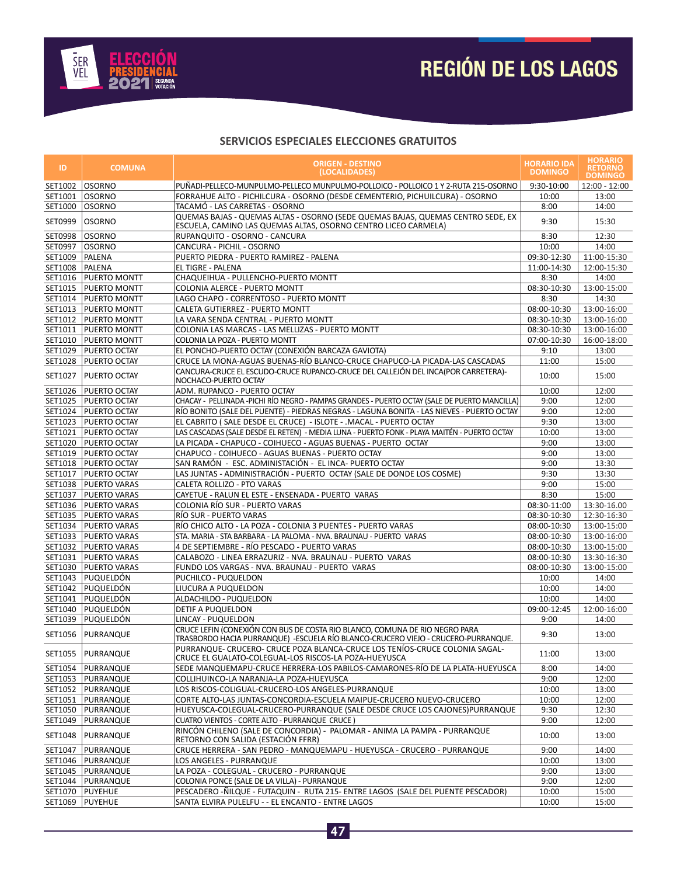

# **REGIÓN DE LOS LAGOS**

| ID.              | <b>COMUNA</b>          | <b>ORIGEN - DESTINO</b><br>(LOCALIDADES)                                                                                                                         |               | <b>HORARIO</b><br><b>RETORNO</b><br><b>DOMINGO</b> |
|------------------|------------------------|------------------------------------------------------------------------------------------------------------------------------------------------------------------|---------------|----------------------------------------------------|
| SET1002   OSORNO |                        | PUÑADI-PELLECO-MUNPULMO-PELLECO MUNPULMO-POLLOICO - POLLOICO 1 Y 2-RUTA 215-OSORNO                                                                               | 9:30-10:00    | 12:00 - 12:00                                      |
| SET1001 OSORNO   |                        | FORRAHUE ALTO - PICHILCURA - OSORNO (DESDE CEMENTERIO, PICHUILCURA) - OSORNO                                                                                     | 10:00         | 13:00                                              |
| SET1000 OSORNO   |                        | TACAMÓ - LAS CARRETAS - OSORNO                                                                                                                                   | 8:00          | 14:00                                              |
| SET0999          | OSORNO                 | QUEMAS BAJAS - QUEMAS ALTAS - OSORNO (SEDE QUEMAS BAJAS, QUEMAS CENTRO SEDE, EX<br>ESCUELA, CAMINO LAS QUEMAS ALTAS, OSORNO CENTRO LICEO CARMELA)                | 9:30          | 15:30                                              |
| SET0998   OSORNO |                        | RUPANQUITO - OSORNO - CANCURA                                                                                                                                    | 8:30          | 12:30                                              |
| SET0997   OSORNO |                        | CANCURA - PICHIL - OSORNO                                                                                                                                        | 10:00         | 14:00                                              |
| SET1009          | PALENA                 | PUERTO PIEDRA - PUERTO RAMIREZ - PALENA                                                                                                                          | 09:30-12:30   | 11:00-15:30                                        |
| SET1008 PALENA   |                        | EL TIGRE - PALENA                                                                                                                                                | 11:00-14:30   | 12:00-15:30                                        |
| SET1016          | <b>PUERTO MONTT</b>    | CHAQUEIHUA - PULLENCHO-PUERTO MONTT                                                                                                                              | 8:30          | 14:00                                              |
| SET1015          | <b>PUERTO MONTT</b>    | COLONIA ALERCE - PUERTO MONTT                                                                                                                                    | 08:30-10:30   | 13:00-15:00                                        |
|                  | SET1014 PUERTO MONTT   | LAGO CHAPO - CORRENTOSO - PUERTO MONTT                                                                                                                           | 8:30          | 14:30                                              |
|                  | SET1013   PUERTO MONTT | CALETA GUTIERREZ - PUERTO MONTT                                                                                                                                  | 08:00-10:30   | 13:00-16:00                                        |
|                  | SET1012   PUERTO MONTT | LA VARA SENDA CENTRAL - PUERTO MONTT                                                                                                                             | 08:30-10:30   | 13:00-16:00                                        |
| SET1011          | <b>PUERTO MONTT</b>    | COLONIA LAS MARCAS - LAS MELLIZAS - PUERTO MONTT                                                                                                                 | 08:30-10:30   | 13:00-16:00                                        |
|                  | SET1010   PUERTO MONTT | COLONIA LA POZA - PUERTO MONTT                                                                                                                                   | 07:00-10:30   | 16:00-18:00                                        |
| SET1029          | <b>PUERTO OCTAY</b>    | EL PONCHO-PUERTO OCTAY (CONEXIÓN BARCAZA GAVIOTA)                                                                                                                | 9:10          | 13:00                                              |
| SET1028          | <b>PUERTO OCTAY</b>    | CRUCE LA MONA-AGUAS BUENAS-RÍO BLANCO-CRUCE CHAPUCO-LA PICADA-LAS CASCADAS                                                                                       | 11:00         | 15:00                                              |
|                  |                        | CANCURA-CRUCE EL ESCUDO-CRUCE RUPANCO-CRUCE DEL CALLEJÓN DEL INCA(POR CARRETERA)-                                                                                |               |                                                    |
| SET1027          | <b>PUERTO OCTAY</b>    | NOCHACO-PUERTO OCTAY                                                                                                                                             | 10:00         | 15:00                                              |
| SET1026          | <b>PUERTO OCTAY</b>    | ADM. RUPANCO - PUERTO OCTAY                                                                                                                                      | 10:00         | 12:00                                              |
| SET1025          | <b>PUERTO OCTAY</b>    | CHACAY - PELLINADA -PICHI RÍO NEGRO - PAMPAS GRANDES - PUERTO OCTAY (SALE DE PUERTO MANCILLA)                                                                    | 9:00          | 12:00                                              |
|                  | SET1024   PUERTO OCTAY | RÍO BONITO (SALE DEL PUENTE) - PIEDRAS NEGRAS - LAGUNA BONITA - LAS NIEVES - PUERTO OCTAY                                                                        | 9:00          | 12:00                                              |
| SET1023          | <b>PUERTO OCTAY</b>    | EL CABRITO ( SALE DESDE EL CRUCE) - ISLOTE - .MACAL - PUERTO OCTAY                                                                                               | 9:30          | 13:00                                              |
| SET1021          | <b>PUERTO OCTAY</b>    | LAS CASCADAS (SALE DESDE EL RETEN) - MEDIA LUNA - PUERTO FONK - PLAYA MAITÉN - PUERTO OCTAY                                                                      | 10:00         | 13:00                                              |
| SET1020          | <b>PUERTO OCTAY</b>    | LA PICADA - CHAPUCO - COIHUECO - AGUAS BUENAS - PUERTO OCTAY                                                                                                     | 9:00          | 13:00                                              |
|                  | SET1019 PUERTO OCTAY   | CHAPUCO - COIHUECO - AGUAS BUENAS - PUERTO OCTAY                                                                                                                 | 9:00          | 13:00                                              |
|                  | SET1018   PUERTO OCTAY | SAN RAMÓN - ESC. ADMINISTACIÓN - EL INCA- PUERTO OCTAY                                                                                                           | 9:00          | 13:30                                              |
| SET1017          | <b>PUERTO OCTAY</b>    | LAS JUNTAS - ADMINISTRACIÓN - PUERTO OCTAY (SALE DE DONDE LOS COSME)                                                                                             | 9:30          | 13:30                                              |
|                  | SET1038   PUERTO VARAS | CALETA ROLLIZO - PTO VARAS                                                                                                                                       | 9:00          | 15:00                                              |
| SET1037          | <b>PUERTO VARAS</b>    | CAYETUE - RALUN EL ESTE - ENSENADA - PUERTO VARAS                                                                                                                | 8:30          | 15:00                                              |
|                  | SET1036   PUERTO VARAS | COLONIA RÍO SUR - PUERTO VARAS                                                                                                                                   | 08:30-11:00   | 13:30-16.00                                        |
|                  | SET1035   PUERTO VARAS | RÍO SUR - PUERTO VARAS                                                                                                                                           | 08:30-10:30   | 12:30-16:30                                        |
|                  | SET1034   PUERTO VARAS | RÍO CHICO ALTO - LA POZA - COLONIA 3 PUENTES - PUERTO VARAS                                                                                                      | 08:00-10:30   | 13:00-15:00                                        |
|                  | SET1033   PUERTO VARAS | STA. MARIA - STA BARBARA - LA PALOMA - NVA. BRAUNAU - PUERTO VARAS                                                                                               | 08:00-10:30   | 13:00-16:00                                        |
|                  | SET1032   PUERTO VARAS | 4 DE SEPTIEMBRE - RÍO PESCADO - PUERTO VARAS                                                                                                                     | 08:00-10:30   | 13:00-15:00                                        |
|                  | SET1031   PUERTO VARAS | CALABOZO - LINEA ERRAZURIZ - NVA. BRAUNAU - PUERTO VARAS                                                                                                         | 08:00-10:30   | 13:30-16:30                                        |
|                  | SET1030   PUERTO VARAS | FUNDO LOS VARGAS - NVA. BRAUNAU - PUERTO VARAS                                                                                                                   | 08:00-10:30   | 13:00-15:00                                        |
|                  | SET1043 PUQUELDÓN      | PUCHILCO - PUQUELDON                                                                                                                                             | 10:00         | 14:00                                              |
|                  | SET1042   PUQUELDÓN    | LIUCURA A PUQUELDON                                                                                                                                              | 10:00         | 14:00                                              |
|                  | SET1041   PUQUELDÓN    | ALDACHILDO - PUQUELDON                                                                                                                                           | 10:00         | 14:00                                              |
|                  | SET1040 PUQUELDÓN      | <b>DETIF A PUQUELDON</b>                                                                                                                                         | 09:00-12:45   | 12:00-16:00                                        |
|                  | SET1039 PUQUELDÓN      | LINCAY - PUQUELDON                                                                                                                                               | 9:00          | 14:00                                              |
| SET1056          | PURRANQUE              | CRUCE LEFIN (CONEXIÓN CON BUS DE COSTA RIO BLANCO, COMUNA DE RIO NEGRO PARA<br>TRASBORDO HACIA PURRANQUE) -ESCUELA RÍO BLANCO-CRUCERO VIEJO - CRUCERO-PURRANQUE. | 9:30          | 13:00                                              |
|                  | SET1055  PURRANQUE     | PURRANQUE- CRUCERO- CRUCE POZA BLANCA-CRUCE LOS TENÍOS-CRUCE COLONIA SAGAL-<br>CRUCE EL GUALATO-COLEGUAL-LOS RISCOS-LA POZA-HUEYUSCA                             | 11:00         | 13:00                                              |
|                  | SET1054   PURRANQUE    | SEDE MANQUEMAPU-CRUCE HERRERA-LOS PABILOS-CAMARONES-RÍO DE LA PLATA-HUEYUSCA                                                                                     | 8:00          | 14:00                                              |
|                  | SET1053  PURRANQUE     | COLLIHUINCO-LA NARANJA-LA POZA-HUEYUSCA                                                                                                                          | 9:00          | 12:00                                              |
|                  | SET1052   PURRANQUE    | LOS RISCOS-COLIGUAL-CRUCERO-LOS ANGELES-PURRANQUE                                                                                                                | 10:00         | 13:00                                              |
|                  | SET1051   PURRANQUE    | CORTE ALTO-LAS JUNTAS-CONCORDIA-ESCUELA MAIPUE-CRUCERO NUEVO-CRUCERO                                                                                             | 10:00         | 12:00                                              |
|                  | SET1050 PURRANQUE      | HUEYUSCA-COLEGUAL-CRUCERO-PURRANQUE (SALE DESDE CRUCE LOS CAJONES)PURRANQUE                                                                                      | 9:30          | 12:30                                              |
|                  | SET1049   PURRANQUE    | CUATRO VIENTOS - CORTE ALTO - PURRANQUE CRUCE)                                                                                                                   | 9:00          | 12:00                                              |
|                  | SET1048   PURRANQUE    | RINCÓN CHILENO (SALE DE CONCORDIA) - PALOMAR - ANIMA LA PAMPA - PURRANQUE<br>RETORNO CON SALIDA (ESTACIÓN FFRR)                                                  |               | 13:00                                              |
|                  | SET1047   PURRANQUE    | CRUCE HERRERA - SAN PEDRO - MANQUEMAPU - HUEYUSCA - CRUCERO - PURRANQUE                                                                                          |               | 14:00                                              |
|                  | SET1046   PURRANQUE    | LOS ANGELES - PURRANQUE                                                                                                                                          | 9:00<br>10:00 | 13:00                                              |
|                  | SET1045   PURRANQUE    | LA POZA - COLEGUAL - CRUCERO - PURRANQUE                                                                                                                         | 9:00          | 13:00                                              |
|                  | SET1044   PURRANQUE    | COLONIA PONCE (SALE DE LA VILLA) - PURRANQUE                                                                                                                     | 9:00          | 12:00                                              |
|                  | SET1070   PUYEHUE      | PESCADERO -ÑILQUE - FUTAQUIN - RUTA 215- ENTRE LAGOS (SALE DEL PUENTE PESCADOR)                                                                                  | 10:00         | 15:00                                              |
| SET1069          | <b>PUYEHUE</b>         | SANTA ELVIRA PULELFU - - EL ENCANTO - ENTRE LAGOS                                                                                                                | 10:00         | 15:00                                              |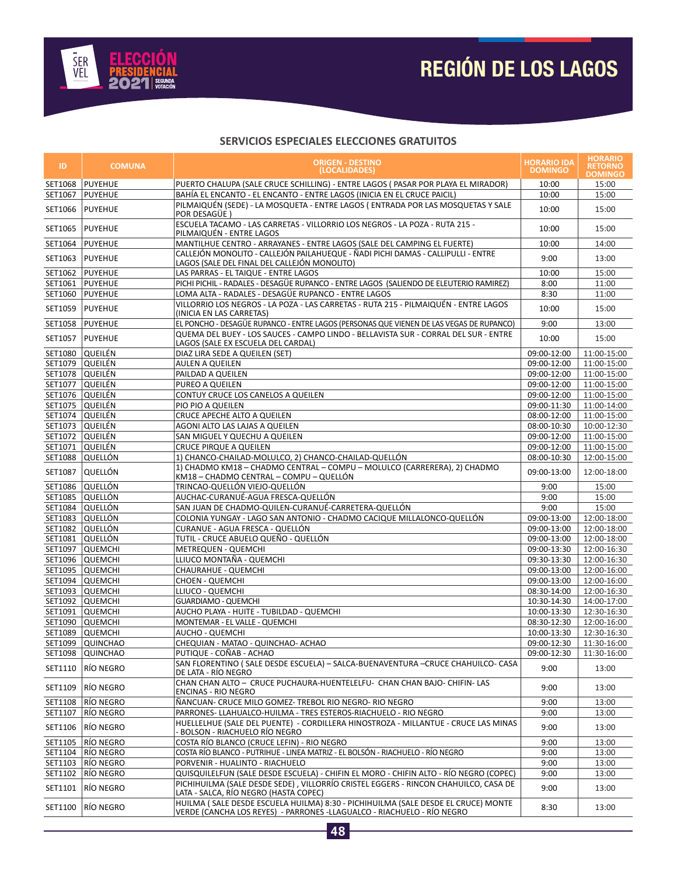

| ID              | <b>COMUNA</b>                      | <b>ORIGEN - DESTINO</b><br>(LOCALIDADES)                                                                                                                      |                            | <b>HORARIO</b><br><b>RETORNO</b><br><b>DOMINGO</b> |
|-----------------|------------------------------------|---------------------------------------------------------------------------------------------------------------------------------------------------------------|----------------------------|----------------------------------------------------|
| SET1068         | <b>PUYEHUE</b>                     | PUERTO CHALUPA (SALE CRUCE SCHILLING) - ENTRE LAGOS ( PASAR POR PLAYA EL MIRADOR)                                                                             | 10:00                      | 15:00                                              |
| SET1067         | <b>PUYEHUE</b>                     | BAHÍA EL ENCANTO - EL ENCANTO - ENTRE LAGOS (INICIA EN EL CRUCE PAICIL)                                                                                       | 10:00                      | 15:00                                              |
| SET1066         | <b>PUYEHUE</b>                     | PILMAIQUÉN (SEDE) - LA MOSQUETA - ENTRE LAGOS (ENTRADA POR LAS MOSQUETAS Y SALE<br>POR DESAGÜE)                                                               |                            | 15:00                                              |
| SET1065         | <b>PUYEHUE</b>                     | ESCUELA TACAMO - LAS CARRETAS - VILLORRIO LOS NEGROS - LA POZA - RUTA 215 -<br>PILMAIQUÉN - ENTRE LAGOS                                                       | 10:00                      | 15:00                                              |
| SET1064         | <b>PUYEHUE</b>                     | MANTILHUE CENTRO - ARRAYANES - ENTRE LAGOS (SALE DEL CAMPING EL FUERTE)                                                                                       | 10:00                      | 14:00                                              |
| SET1063         | <b>PUYEHUE</b>                     | CALLEJÓN MONOLITO - CALLEJÓN PAILAHUEQUE - ÑADI PICHI DAMAS - CALLIPULLI - ENTRE<br>LAGOS (SALE DEL FINAL DEL CALLEJÓN MONOLITO)                              | 9:00                       | 13:00                                              |
|                 | SET1062 PUYEHUE                    | LAS PARRAS - EL TAIQUE - ENTRE LAGOS                                                                                                                          | 10:00                      | 15:00                                              |
|                 | SET1061   PUYEHUE                  | PICHI PICHIL - RADALES - DESAGÜE RUPANCO - ENTRE LAGOS (SALIENDO DE ELEUTERIO RAMIREZ)                                                                        | 8:00                       | 11:00                                              |
|                 | SET1060 PUYEHUE                    | LOMA ALTA - RADALES - DESAGÜE RUPANCO - ENTRE LAGOS                                                                                                           | 8:30                       | 11:00                                              |
| SET1059         | <b>PUYEHUE</b>                     | VILLORRIO LOS NEGROS - LA POZA - LAS CARRETAS - RUTA 215 - PILMAIQUÉN - ENTRE LAGOS<br>(INICIA EN LAS CARRETAS)                                               | 10:00                      | 15:00                                              |
|                 | SET1058   PUYEHUE                  | EL PONCHO - DESAGÜE RUPANCO - ENTRE LAGOS (PERSONAS QUE VIENEN DE LAS VEGAS DE RUPANCO)                                                                       | 9:00                       | 13:00                                              |
| SET1057         | <b>PUYEHUE</b>                     | QUEMA DEL BUEY - LOS SAUCES - CAMPO LINDO - BELLAVISTA SUR - CORRAL DEL SUR - ENTRE<br>LAGOS (SALE EX ESCUELA DEL CARDAL)                                     | 10:00                      | 15:00                                              |
| SET1080 QUEILÉN |                                    | DIAZ LIRA SEDE A QUEILEN (SET)                                                                                                                                | 09:00-12:00                | 11:00-15:00                                        |
| SET1079 QUEILÉN |                                    | AULEN A QUEILEN                                                                                                                                               | 09:00-12:00                | 11:00-15:00                                        |
| SET1078 QUEILÉN |                                    | PAILDAD A QUEILEN                                                                                                                                             | 09:00-12:00                | 11:00-15:00                                        |
| SET1077 QUEILÉN |                                    | PUREO A QUEILEN                                                                                                                                               | 09:00-12:00                | 11:00-15:00                                        |
| SET1076 QUEILÉN |                                    | CONTUY CRUCE LOS CANELOS A QUEILEN                                                                                                                            | 09:00-12:00                | 11:00-15:00                                        |
| SET1075 QUEILÉN |                                    | PIO PIO A QUEILEN                                                                                                                                             | 09:00-11:30                | 11:00-14:00                                        |
| SET1074 QUEILÉN |                                    | CRUCE APECHE ALTO A QUEILEN                                                                                                                                   | 08:00-12:00                | 11:00-15:00                                        |
| SET1073 QUEILÉN |                                    | AGONI ALTO LAS LAJAS A QUEILEN                                                                                                                                | 08:00-10:30                | 10:00-12:30                                        |
| SET1072 QUEILÉN |                                    | SAN MIGUEL Y QUECHU A QUEILEN                                                                                                                                 | 09:00-12:00                | 11:00-15:00                                        |
| SET1071 QUEILÉN |                                    | <b>CRUCE PIRQUE A QUEILEN</b>                                                                                                                                 | 09:00-12:00<br>08:00-10:30 | 11:00-15:00                                        |
|                 | SET1088 QUELLÓN<br>SET1087 QUELLÓN | 1) CHANCO-CHAILAD-MOLULCO, 2) CHANCO-CHAILAD-QUELLÓN<br>1) CHADMO KM18 - CHADMO CENTRAL - COMPU - MOLULCO (CARRERERA), 2) CHADMO                              |                            | 12:00-15:00<br>12:00-18:00                         |
|                 | SET1086 QUELLÓN                    | KM18 - CHADMO CENTRAL - COMPU - QUELLÓN<br>TRINCAO-QUELLÓN VIEJO-QUELLÓN                                                                                      | 09:00-13:00<br>9:00        | 15:00                                              |
|                 | SET1085 QUELLÓN                    | AUCHAC-CURANUÉ-AGUA FRESCA-QUELLÓN                                                                                                                            | 9:00                       | 15:00                                              |
|                 | SET1084 QUELLÓN                    | SAN JUAN DE CHADMO-QUILEN-CURANUÉ-CARRETERA-QUELLÓN                                                                                                           | 9:00                       | 15:00                                              |
|                 | SET1083 QUELLÓN                    | COLONIA YUNGAY - LAGO SAN ANTONIO - CHADMO CACIQUE MILLALONCO-QUELLÓN                                                                                         | 09:00-13:00                | 12:00-18:00                                        |
|                 | SET1082 QUELLÓN                    | CURANUE - AGUA FRESCA - QUELLÓN                                                                                                                               | 09:00-13:00                | 12:00-18:00                                        |
|                 | SET1081 QUELLÓN                    | TUTIL - CRUCE ABUELO QUEÑO - QUELLÓN                                                                                                                          | 09:00-13:00                | 12:00-18:00                                        |
|                 | SET1097 QUEMCHI                    | METREQUEN - QUEMCHI                                                                                                                                           | 09:00-13:30                | 12:00-16:30                                        |
|                 | SET1096 QUEMCHI                    | LLIUCO MONTAÑA - QUEMCHI                                                                                                                                      | 09:30-13:30                | 12:00-16:30                                        |
|                 | SET1095 QUEMCHI                    | CHAURAHUE - QUEMCHI                                                                                                                                           | 09:00-13:00                | 12:00-16:00                                        |
|                 | SET1094 QUEMCHI                    | <b>CHOEN - QUEMCHI</b>                                                                                                                                        | 09:00-13:00                | 12:00-16:00                                        |
|                 | SET1093 QUEMCHI                    | LLIUCO - QUEMCHI                                                                                                                                              | 08:30-14:00                | 12:00-16:30                                        |
|                 | SET1092 QUEMCHI                    | <b>GUARDIAMO - QUEMCHI</b>                                                                                                                                    | 10:30-14:30                | 14:00-17:00                                        |
|                 | SET1091 QUEMCHI                    | AUCHO PLAYA - HUITE - TUBILDAD - QUEMCHI                                                                                                                      | 10:00-13:30                | 12:30-16:30                                        |
|                 | SET1090 QUEMCHI                    | MONTEMAR - EL VALLE - QUEMCHI                                                                                                                                 | 08:30-12:30                | 12:00-16:00                                        |
| SET1089         | <b>QUEMCHI</b>                     | AUCHO - QUEMCHI                                                                                                                                               | 10:00-13:30                | 12:30-16:30                                        |
|                 | SET1099 QUINCHAO                   | CHEQUIAN - MATAO - QUINCHAO- ACHAO                                                                                                                            | 09:00-12:30                | 11:30-16:00                                        |
|                 | SET1098 QUINCHAO                   | PUTIQUE - CONAB - ACHAO                                                                                                                                       | 09:00-12:30                | 11:30-16:00                                        |
| SET1110         | río negro                          | SAN FLORENTINO ( SALE DESDE ESCUELA) – SALCA-BUENAVENTURA –CRUCE CHAHUILCO- CASA<br>DE LATA - RÍO NEGRO                                                       | 9:00                       | 13:00                                              |
| SET1109         | RÍO NEGRO                          | CHAN CHAN ALTO - CRUCE PUCHAURA-HUENTELELFU- CHAN CHAN BAJO- CHIFIN- LAS<br><b>ENCINAS - RIO NEGRO</b>                                                        | 9:00                       | 13:00                                              |
| SET1108         | RÍO NEGRO                          | ÑANCUAN- CRUCE MILO GOMEZ- TREBOL RIO NEGRO- RIO NEGRO                                                                                                        | 9:00                       | 13:00                                              |
|                 | SET1107   RÍO NEGRO                | PARRONES- LLAHUALCO-HUILMA - TRES ESTEROS-RIACHUELO - RIO NEGRO                                                                                               | 9:00                       | 13:00                                              |
| SET1106         | RÍO NEGRO                          | HUELLELHUE (SALE DEL PUENTE)  - CORDILLERA HINOSTROZA - MILLANTUE - CRUCE LAS MINAS<br>- BOLSON - RIACHUELO RÍO NEGRO                                         | 9:00                       | 13:00                                              |
|                 | SET1105 RÍO NEGRO                  | COSTA RÍO BLANCO (CRUCE LEFIN) - RIO NEGRO                                                                                                                    | 9:00                       | 13:00                                              |
|                 | SET1104   RÍO NEGRO                | COSTA RÍO BLANCO - PUTRIHUE - LINEA MATRIZ - EL BOLSÓN - RIACHUELO - RÍO NEGRO                                                                                | 9:00                       | 13:00                                              |
|                 | SET1103 RÍO NEGRO                  | PORVENIR - HUALINTO - RIACHUELO                                                                                                                               | 9:00                       | 13:00                                              |
|                 | SET1102 RÍO NEGRO                  | QUISQUILELFUN (SALE DESDE ESCUELA) - CHIFIN EL MORO - CHIFIN ALTO - RÍO NEGRO (COPEC)                                                                         | 9:00                       | 13:00                                              |
| SET1101         | RÍO NEGRO                          | PICHIHUILMA (SALE DESDE SEDE), VILLORRÍO CRISTEL EGGERS - RINCON CHAHUILCO, CASA DE<br>LATA - SALCA, RÍO NEGRO (HASTA COPEC)                                  | 9:00                       | 13:00                                              |
| SET1100         | RÍO NEGRO                          | HUILMA ( SALE DESDE ESCUELA HUILMA) 8:30 - PICHIHUILMA (SALE DESDE EL CRUCE) MONTE<br>VERDE (CANCHA LOS REYES)  - PARRONES -LLAGUALCO - RIACHUELO - RÍO NEGRO | 8:30                       | 13:00                                              |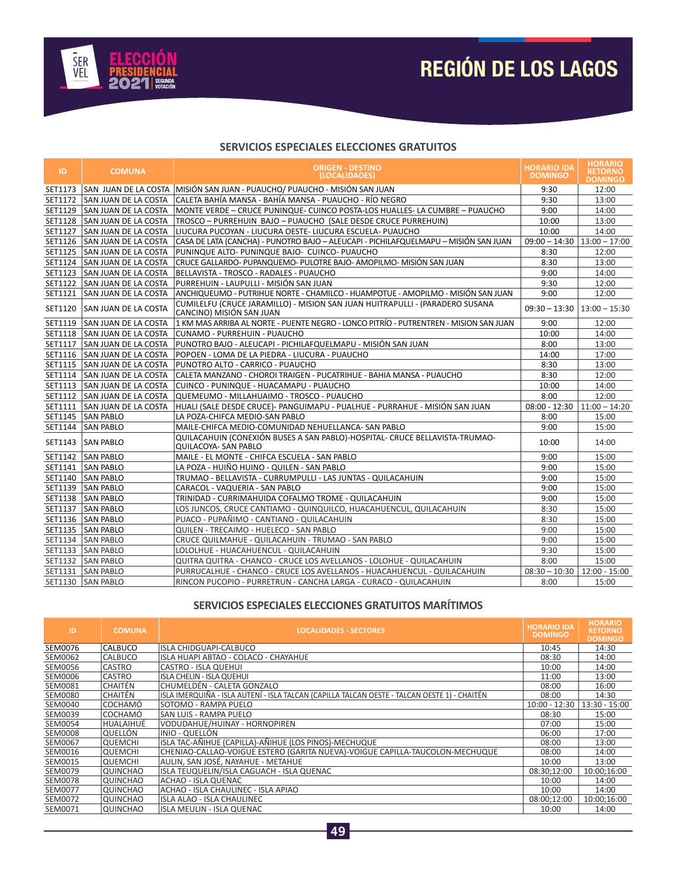

#### **SERVICIOS ESPECIALES ELECCIONES GRATUITOS**

| ID      | <b>COMUNA</b>                 | <b>ORIGEN - DESTINO</b><br>(LOCALIDADES)                                                                 | <b>HORARIO IDA</b><br><b>DOMINGO</b> | <b>HORARIO</b><br><b>RETORNO</b><br><b>DOMINGO</b> |
|---------|-------------------------------|----------------------------------------------------------------------------------------------------------|--------------------------------------|----------------------------------------------------|
| SET1173 | ISAN JUAN DE LA COSTA         | MISIÓN SAN JUAN - PUAUCHO/ PUAUCHO - MISIÓN SAN JUAN                                                     | 9:30                                 | 12:00                                              |
|         | SET1172 SAN JUAN DE LA COSTA  | CALETA BAHÍA MANSA - BAHÍA MANSA - PUAUCHO - RÍO NEGRO                                                   | 9:30                                 | 13:00                                              |
|         | SET1129 ISAN JUAN DE LA COSTA | MONTE VERDE - CRUCE PUNINQUE- CUINCO POSTA-LOS HUALLES- LA CUMBRE - PUAUCHO                              | 9:00                                 | 14:00                                              |
|         | SET1128 SAN JUAN DE LA COSTA  | TROSCO - PURREHUIN BAJO - PUAUCHO (SALE DESDE CRUCE PURREHUIN)                                           | 10:00                                | 13:00                                              |
|         | SET1127 SAN JUAN DE LA COSTA  | LIUCURA PUCOYAN - LIUCURA OESTE- LIUCURA ESCUELA- PUAUCHO                                                | 10:00                                | 14:00                                              |
|         | SET1126 SAN JUAN DE LA COSTA  | CASA DE LATA (CANCHA) - PUNOTRO BAJO - ALEUCAPI - PICHILAFQUELMAPU - MISIÓN SAN JUAN                     | $09:00 - 14:30$   13:00 - 17:00      |                                                    |
|         | SET1125 SAN JUAN DE LA COSTA  | PUNINQUE ALTO- PUNINQUE BAJO- CUINCO- PUAUCHO                                                            | 8:30                                 | 12:00                                              |
|         | SET1124 SAN JUAN DE LA COSTA  | CRUCE GALLARDO- PUPANQUEMO- PULOTRE BAJO- AMOPILMO- MISIÓN SAN JUAN                                      | 8:30                                 | 13:00                                              |
|         | SET1123 SAN JUAN DE LA COSTA  | BELLAVISTA - TROSCO - RADALES - PUAUCHO                                                                  | 9:00                                 | 14:00                                              |
|         | SET1122 SAN JUAN DE LA COSTA  | PURREHUIN - LAUPULLI - MISIÓN SAN JUAN                                                                   | 9:30                                 | 12:00                                              |
| SET1121 | SAN JUAN DE LA COSTA          | ANCHIQUEUMO - PUTRIHUE NORTE - CHAMILCO - HUAMPOTUE - AMOPILMO - MISIÓN SAN JUAN                         | 9:00                                 | 12:00                                              |
| SET1120 | <b>SAN JUAN DE LA COSTA</b>   | CUMILELFU (CRUCE JARAMILLO) - MISION SAN JUAN HUITRAPULLI - (PARADERO SUSANA<br>CANCINO) MISIÓN SAN JUAN | $09:30 - 13:30$   13:00 - 15:30      |                                                    |
| SET1119 | SAN JUAN DE LA COSTA          | 1 KM MAS ARRIBA AL NORTE - PUENTE NEGRO - LONCO PITRÍO - PUTRENTREN - MISION SAN JUAN                    | 9:00                                 | 12:00                                              |
|         | SET1118 SAN JUAN DE LA COSTA  | CUNAMO - PURREHUIN - PUAUCHO                                                                             | 10:00                                | 14:00                                              |
| SET1117 | <b>SAN JUAN DE LA COSTA</b>   | PUNOTRO BAJO - ALEUCAPI - PICHILAFQUELMAPU - MISIÓN SAN JUAN                                             | 8:00                                 | 13:00                                              |
|         | SET1116 SAN JUAN DE LA COSTA  | POPOEN - LOMA DE LA PIEDRA - LIUCURA - PUAUCHO                                                           |                                      | 17:00                                              |
|         | SET1115 SAN JUAN DE LA COSTA  | PUNOTRO ALTO - CARRICO - PUAUCHO                                                                         |                                      | 13:00                                              |
|         | SET1114 SAN JUAN DE LA COSTA  | CALETA MANZANO - CHOROI TRAIGEN - PUCATRIHUE - BAHIA MANSA - PUAUCHO                                     |                                      | 12:00                                              |
|         | SET1113 SAN JUAN DE LA COSTA  | CUINCO - PUNINQUE - HUACAMAPU - PUAUCHO                                                                  |                                      | 14:00                                              |
|         | SET1112 SAN JUAN DE LA COSTA  | QUEMEUMO - MILLAHUAIMO - TROSCO - PUAUCHO                                                                |                                      | 12:00                                              |
|         | SET1111 SAN JUAN DE LA COSTA  | HUALI (SALE DESDE CRUCE)- PANGUIMAPU - PUALHUE - PURRAHUE - MISIÓN SAN JUAN                              | $08:00 - 12:30$                      | $11:00 - 14:20$                                    |
|         | SET1145 SAN PABLO             | LA POZA-CHIFCA MEDIO-SAN PABLO                                                                           | 8:00                                 | 15:00                                              |
|         | SET1144 SAN PABLO             | MAILE-CHIFCA MEDIO-COMUNIDAD NEHUELLANCA- SAN PABLO                                                      | 9:00                                 | 15:00                                              |
| SET1143 | <b>SAN PABLO</b>              | QUILACAHUIN (CONEXIÓN BUSES A SAN PABLO)-HOSPITAL- CRUCE BELLAVISTA-TRUMAO-<br>QUILACOYA- SAN PABLO      | 10:00                                | 14:00                                              |
|         | SET1142 SAN PABLO             | MAILE - EL MONTE - CHIFCA ESCUELA - SAN PABLO                                                            | 9:00                                 | 15:00                                              |
|         | SET1141 SAN PABLO             | LA POZA - HUIÑO HUINO - QUILEN - SAN PABLO                                                               | 9:00                                 | 15:00                                              |
|         | SET1140 SAN PABLO             | TRUMAO - BELLAVISTA - CURRUMPULLI - LAS JUNTAS - QUILACAHUIN                                             | 9:00                                 | 15:00                                              |
|         | SET1139 SAN PABLO             | CARACOL - VAQUERIA - SAN PABLO                                                                           | 9:00                                 | 15:00                                              |
|         | SET1138 SAN PABLO             | TRINIDAD - CURRIMAHUIDA COFALMO TROME - QUILACAHUIN                                                      | 9:00                                 | 15:00                                              |
|         | SET1137 SAN PABLO             | LOS JUNCOS. CRUCE CANTIAMO - QUINQUILCO. HUACAHUENCUL. QUILACAHUIN                                       | 8:30                                 | 15:00                                              |
|         | SET1136 SAN PABLO             | PUACO - PUPAÑIMO - CANTIANO - QUILACAHUIN                                                                | 8:30                                 | 15:00                                              |
|         | SET1135 SAN PABLO             | QUILEN - TRECAIMO - HUELECO - SAN PABLO                                                                  |                                      | 15:00                                              |
|         | SET1134 SAN PABLO             | CRUCE QUILMAHUE - QUILACAHUIN - TRUMAO - SAN PABLO                                                       |                                      | 15:00                                              |
|         | SET1133 SAN PABLO             | LOLOLHUE - HUACAHUENCUL - QUILACAHUIN                                                                    |                                      | 15:00                                              |
|         | SET1132 SAN PABLO             | QUITRA QUITRA - CHANCO - CRUCE LOS AVELLANOS - LOLOHUE - QUILACAHUIN                                     | 8:00                                 | 15:00                                              |
|         | SET1131 SAN PABLO             | PURRUCALHUE - CHANCO - CRUCE LOS AVELLANOS - HUACAHUENCUL - QUILACAHUIN                                  | $08:30 - 10:30$                      | $12:00 - 15:00$                                    |
|         | SET1130 SAN PABLO             | RINCON PUCOPIO - PURRETRUN - CANCHA LARGA - CURACO - QUILACAHUIN                                         | 8:00                                 | 15:00                                              |

## **SERVICIOS ESPECIALES ELECCIONES GRATUITOS MARÍTIMOS**

| ID             | <b>COMUNA</b>   | <b>HORARIO IDA</b><br><b>LOCALIDADES - SECTORES</b>                                          |                 | <b>HORARIO</b><br><b>RETORNO</b><br><b>DOMINGO</b> |
|----------------|-----------------|----------------------------------------------------------------------------------------------|-----------------|----------------------------------------------------|
| SEM0076        | <b>CALBUCO</b>  | ISLA CHIDGUAPI-CALBUCO                                                                       | 10:45           | 14:30                                              |
| <b>SEM0062</b> | <b>CALBUCO</b>  | ISLA HUAPI ABTAO - COLACO - CHAYAHUE                                                         | 08:30           | 14:00                                              |
| <b>SEM0056</b> | <b>CASTRO</b>   | <b>CASTRO - ISLA QUEHUI</b>                                                                  | 10:00           | 14:00                                              |
| SEM0006        | <b>CASTRO</b>   | <b>ISLA CHELIN - ISLA QUEHUI</b>                                                             | 11:00           | 13:00                                              |
| SEM0081        | CHAITÉN         | CHUMELDÉN - CALETA GONZALO                                                                   | 08:00           | 16:00                                              |
| <b>SEM0080</b> | CHAITÉN         | ISLA IMERQUIÑA - ISLA AUTENÍ - ISLA TALCAN (CAPILLA TALCAN OESTE - TALCAN OESTE 1) - CHAITÉN | 08:00           | 14:30                                              |
| SEM0040        | COCHAMÓ         | SOTOMO - RAMPA PUELO                                                                         | $10:00 - 12:30$ | 13:30 - 15:00                                      |
| SEM0039        | COCHAMÓ         | SAN LUIS - RAMPA PUELO                                                                       | 08:30           | 15:00                                              |
| <b>SEM0054</b> | HUALAIHUÉ       | VODUDAHUE/HUINAY - HORNOPIREN                                                                | 07:00           | 15:00                                              |
| <b>SEM0008</b> | <b>QUELLÓN</b>  | linio - Quellón                                                                              | 06:00           | 17:00                                              |
| <b>SEM0067</b> | <b>QUEMCHI</b>  | ISLA TAC-AÑIHUE (CAPILLA)-AÑIHUE (LOS PINOS)-MECHUQUE                                        | 08:00           | 13:00                                              |
| SEM0016        | <b>QUEMCHI</b>  | CHENIAO-CALLAO-VOIGUE ESTERO (GARITA NUEVA)-VOIGUE CAPILLA-TAUCOLON-MECHUQUE                 | 08:00           | 14:00                                              |
| SEM0015        | <b>QUEMCHI</b>  | AULIN, SAN JOSÉ, NAYAHUE - METAHUE                                                           | 10:00           | 13:00                                              |
| SEM0079        | QUINCHAO        | ISLA TEUQUELIN/ISLA CAGUACH - ISLA QUENAC                                                    | 08:30;12:00     | 10:00:16:00                                        |
| <b>SEM0078</b> | <b>QUINCHAO</b> | ACHAO - ISLA QUENAC                                                                          | 10:00           | 14:00                                              |
| SEM0077        | <b>QUINCHAO</b> | ACHAO - ISLA CHAULINEC - ISLA APIAO                                                          | 10:00           | 14:00                                              |
| SEM0072        | QUINCHAO        | ISLA ALAO - ISLA CHAULINEC                                                                   | 08:00;12:00     | 10:00;16:00                                        |
| SEM0071        | <b>QUINCHAO</b> | ISLA MEULIN - ISLA QUENAC                                                                    | 10:00           | 14:00                                              |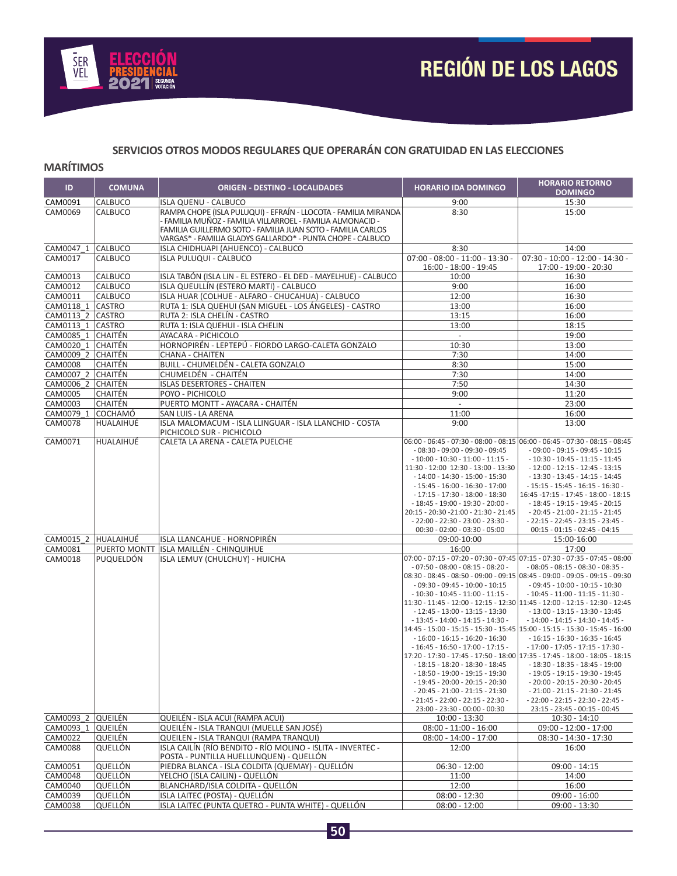

# **SERVICIOS OTROS MODOS REGULARES QUE OPERARÁN CON GRATUIDAD EN LAS ELECCIONES**

#### **MARÍTIMOS**

| ID                             | <b>COMUNA</b>  | <b>ORIGEN - DESTINO - LOCALIDADES</b>                                                                                                                                                                                                                      | <b>HORARIO IDA DOMINGO</b>                                                  | <b>HORARIO RETORNO</b><br><b>DOMINGO</b>                                                                          |
|--------------------------------|----------------|------------------------------------------------------------------------------------------------------------------------------------------------------------------------------------------------------------------------------------------------------------|-----------------------------------------------------------------------------|-------------------------------------------------------------------------------------------------------------------|
| CAM0091                        | CALBUCO        | ISLA QUENU - CALBUCO                                                                                                                                                                                                                                       | 9:00                                                                        | 15:30                                                                                                             |
| CAM0069                        | CALBUCO        | RAMPA CHOPE (ISLA PULUQUI) - EFRAÍN - LLOCOTA - FAMILIA MIRANDA<br>- FAMILIA MUÑOZ - FAMILIA VILLARROEL - FAMILIA ALMONACID -<br>FAMILIA GUILLERMO SOTO - FAMILIA JUAN SOTO - FAMILIA CARLOS<br>VARGAS* - FAMILIA GLADYS GALLARDO* - PUNTA CHOPE - CALBUCO | 8:30                                                                        | 15:00                                                                                                             |
| CAM0047 1 CALBUCO              |                | ISLA CHIDHUAPI (AHUENCO) - CALBUCO                                                                                                                                                                                                                         | 8:30                                                                        | 14:00                                                                                                             |
| CAM0017                        | CALBUCO        | <b>ISLA PULUQUI - CALBUCO</b>                                                                                                                                                                                                                              | $07:00 - 08:00 - 11:00 - 13:30 -$<br>16:00 - 18:00 - 19:45                  | $07:30 - 10:00 - 12:00 - 14:30 -$<br>17:00 - 19:00 - 20:30                                                        |
| CAM0013                        | CALBUCO        | ISLA TABÓN (ISLA LIN - EL ESTERO - EL DED - MAYELHUE) - CALBUCO                                                                                                                                                                                            | 10:00                                                                       | 16:30                                                                                                             |
| CAM0012                        | CALBUCO        | ISLA QUEULLÍN (ESTERO MARTI) - CALBUCO                                                                                                                                                                                                                     | 9:00                                                                        | 16:00                                                                                                             |
| CAM0011                        | CALBUCO        | ISLA HUAR (COLHUE - ALFARO - CHUCAHUA) - CALBUCO                                                                                                                                                                                                           | 12:00                                                                       | 16:30                                                                                                             |
| CAM0118 1                      | <b>CASTRO</b>  | RUTA 1: ISLA QUEHUI (SAN MIGUEL - LOS ÁNGELES) - CASTRO                                                                                                                                                                                                    | 13:00                                                                       | 16:00                                                                                                             |
| CAM0113 2 CASTRO               |                | RUTA 2: ISLA CHELÍN - CASTRO                                                                                                                                                                                                                               | 13:15                                                                       | 16:00                                                                                                             |
| CAM0113 1 CASTRO               |                | RUTA 1: ISLA QUEHUI - ISLA CHELIN                                                                                                                                                                                                                          | 13:00                                                                       | 18:15                                                                                                             |
| CAM0085 1 CHAITÉN              |                | AYACARA - PICHICOLO                                                                                                                                                                                                                                        | $\sim$                                                                      | 19:00                                                                                                             |
| CAM0020 1 CHAITÉN              |                | HORNOPIRÉN - LEPTEPÚ - FIORDO LARGO-CALETA GONZALO                                                                                                                                                                                                         | 10:30                                                                       | 13:00                                                                                                             |
| CAM0009 2 CHAITÉN              |                | <b>CHANA - CHAITEN</b>                                                                                                                                                                                                                                     | 7:30                                                                        | 14:00                                                                                                             |
| CAM0008                        | CHAITÉN        | BUILL - CHUMELDÉN - CALETA GONZALO                                                                                                                                                                                                                         | 8:30                                                                        | 15:00                                                                                                             |
| CAM0007 2 CHAITÉN              |                | CHUMELDÊN - CHAITÊN                                                                                                                                                                                                                                        | 7:30                                                                        | 14:00                                                                                                             |
| CAM0006 2 CHAITÉN              |                | <b>ISLAS DESERTORES - CHAITEN</b>                                                                                                                                                                                                                          | 7:50                                                                        | 14:30                                                                                                             |
| CAM0005                        | CHAITÉN        | POYO - PICHICOLO                                                                                                                                                                                                                                           | 9:00                                                                        | 11:20                                                                                                             |
| CAM0003                        | CHAITÉN        | PUERTO MONTT - AYACARA - CHAITÉN                                                                                                                                                                                                                           | $\sim$                                                                      | 23:00                                                                                                             |
| CAM0079 1 COCHAMÓ              |                | SAN LUIS - LA ARENA                                                                                                                                                                                                                                        | 11:00                                                                       | 16:00                                                                                                             |
| CAM0078                        | HUALAIHUÉ      | ISLA MALOMACUM - ISLA LLINGUAR - ISLA LLANCHID - COSTA<br>PICHICOLO SUR - PICHICOLO                                                                                                                                                                        | 9:00                                                                        | 13:00<br>06:00 - 06:45 - 07:30 - 08:00 - 08:15 06:00 - 06:45 - 07:30 - 08:15 - 08:45                              |
| CAM0071                        | HUALAIHUÉ      | CALETA LA ARENA - CALETA PUELCHE                                                                                                                                                                                                                           | $-08:30 - 09:00 - 09:30 - 09:45$                                            | $-09:00 - 09:15 - 09:45 - 10:15$                                                                                  |
|                                |                |                                                                                                                                                                                                                                                            | $-10:00 - 10:30 - 11:00 - 11:15 -$                                          | $-10:30 - 10:45 - 11:15 - 11:45$                                                                                  |
|                                |                |                                                                                                                                                                                                                                                            | 11:30 - 12:00 12:30 - 13:00 - 13:30                                         | $-12:00 - 12:15 - 12:45 - 13:15$                                                                                  |
|                                |                |                                                                                                                                                                                                                                                            | $-14:00 - 14:30 - 15:00 - 15:30$                                            | $-13:30 - 13:45 - 14:15 - 14:45$                                                                                  |
|                                |                |                                                                                                                                                                                                                                                            | $-15:45 - 16:00 - 16:30 - 17:00$                                            | $-15:15 - 15:45 - 16:15 - 16:30 -$                                                                                |
|                                |                |                                                                                                                                                                                                                                                            | $-17:15 - 17:30 - 18:00 - 18:30$                                            | 16:45 -17:15 - 17:45 - 18:00 - 18:15                                                                              |
|                                |                |                                                                                                                                                                                                                                                            | $-18:45 - 19:00 - 19:30 - 20:00 -$<br>20:15 - 20:30 - 21:00 - 21:30 - 21:45 | $-18:45 - 19:15 - 19:45 - 20:15$<br>$-20:45 - 21:00 - 21:15 - 21:45$                                              |
|                                |                |                                                                                                                                                                                                                                                            | $-22:00 - 22:30 - 23:00 - 23:30 -$                                          | $-22:15 - 22:45 - 23:15 - 23:45 -$                                                                                |
|                                |                |                                                                                                                                                                                                                                                            | 00:30 - 02:00 - 03:30 - 05:00                                               | $00:15 - 01:15 - 02:45 - 04:15$                                                                                   |
| CAM0015 2 HUALAIHUÉ            |                | ISLA LLANCAHUE - HORNOPIRÉN                                                                                                                                                                                                                                | 09:00-10:00                                                                 | 15:00-16:00                                                                                                       |
| CAM0081                        | PUERTO MONTT   | ISLA MAILLÉN - CHINQUIHUE                                                                                                                                                                                                                                  | 16:00                                                                       | 17:00                                                                                                             |
| CAM0018                        | PUQUELDÓN      | ISLA LEMUY (CHULCHUY) - HUICHA                                                                                                                                                                                                                             |                                                                             | $07:00 - 07:15 - 07:20 - 07:30 - 07:45$ $07:15 - 07:30 - 07:35 - 07:45 - 08:00$                                   |
|                                |                |                                                                                                                                                                                                                                                            | $-07:50 - 08:00 - 08:15 - 08:20 -$                                          | $-08:05 - 08:15 - 08:30 - 08:35 -$                                                                                |
|                                |                |                                                                                                                                                                                                                                                            |                                                                             | 08:30 - 08:45 - 08:50 - 09:00 - 09:15 08:45 - 09:00 - 09:05 - 09:15 - 09:30                                       |
|                                |                |                                                                                                                                                                                                                                                            | $-09:30 - 09:45 - 10:00 - 10:15$<br>$-10:30 - 10:45 - 11:00 - 11:15 -$      | $-09:45 - 10:00 - 10:15 - 10:30$<br>$-10:45 - 11:00 - 11:15 - 11:30 -$                                            |
|                                |                |                                                                                                                                                                                                                                                            |                                                                             | 11:30 - 11:45 - 12:00 - 12:15 - 12:30 11:45 - 12:00 - 12:15 - 12:30 - 12:45                                       |
|                                |                |                                                                                                                                                                                                                                                            | $-12:45 - 13:00 - 13:15 - 13:30$                                            | $-13:00 - 13:15 - 13:30 - 13:45$                                                                                  |
|                                |                |                                                                                                                                                                                                                                                            | $-13:45 - 14:00 - 14:15 - 14:30 -$                                          | $-14:00 - 14:15 - 14:30 - 14:45 -$                                                                                |
|                                |                |                                                                                                                                                                                                                                                            |                                                                             | 14:45 - 15:00 - 15:15 - 15:30 - 15:45   15:00 - 15:15 - 15:30 - 15:45 - 16:00                                     |
|                                |                |                                                                                                                                                                                                                                                            | $-16:00 - 16:15 - 16:20 - 16:30$                                            | $-16:15 - 16:30 - 16:35 - 16:45$                                                                                  |
|                                |                |                                                                                                                                                                                                                                                            | $-16:45 - 16:50 - 17:00 - 17:15 -$                                          | $-17:00 - 17:05 - 17:15 - 17:30 -$<br>17:20 - 17:30 - 17:45 - 17:50 - 18:00 17:35 - 17:45 - 18:00 - 18:05 - 18:15 |
|                                |                |                                                                                                                                                                                                                                                            | $-18:15 - 18:20 - 18:30 - 18:45$                                            | $-18:30 - 18:35 - 18:45 - 19:00$                                                                                  |
|                                |                |                                                                                                                                                                                                                                                            | $-18:50 - 19:00 - 19:15 - 19:30$                                            | $-19:05 - 19:15 - 19:30 - 19:45$                                                                                  |
|                                |                |                                                                                                                                                                                                                                                            | $-19:45 - 20:00 - 20:15 - 20:30$                                            | $-20:00 - 20:15 - 20:30 - 20:45$                                                                                  |
|                                |                |                                                                                                                                                                                                                                                            | $-20:45 - 21:00 - 21:15 - 21:30$                                            | $-21:00 - 21:15 - 21:30 - 21:45$                                                                                  |
|                                |                |                                                                                                                                                                                                                                                            | $-21:45 - 22:00 - 22:15 - 22:30 -$                                          | $-22:00 - 22:15 - 22:30 - 22:45 -$                                                                                |
|                                |                |                                                                                                                                                                                                                                                            | 23:00 - 23:30 - 00:00 - 00:30                                               | 23:15 - 23:45 - 00:15 - 00:45                                                                                     |
| CAM0093 2 QUEILÉN<br>CAM0093 1 | <b>QUEILÉN</b> | QUEILÉN - ISLA ACUI (RAMPA ACUI)<br>QUEILÉN - ISLA TRANQUI (MUELLE SAN JOSÉ)                                                                                                                                                                               | $10:00 - 13:30$<br>$08:00 - 11:00 - 16:00$                                  | $10:30 - 14:10$<br>$09:00 - 12:00 - 17:00$                                                                        |
| CAM0022                        | QUEILÉN        | QUEILEN - ISLA TRANQUI (RAMPA TRANQUI)                                                                                                                                                                                                                     | $08:00 - 14:00 - 17:00$                                                     | 08:30 - 14:30 - 17:30                                                                                             |
| <b>CAM0088</b>                 | QUELLÓN        | ISLA CAILÍN (RÍO BENDITO - RÍO MOLINO - ISLITA - INVERTEC -<br>POSTA - PUNTILLA HUELLUNQUEN) - QUELLÓN                                                                                                                                                     | 12:00                                                                       | 16:00                                                                                                             |
| CAM0051                        | QUELLÓN        | PIEDRA BLANCA - ISLA COLDITA (QUEMAY) - QUELLÓN                                                                                                                                                                                                            | $06:30 - 12:00$                                                             | 09:00 - 14:15                                                                                                     |
| CAM0048                        | QUELLÓN        | YELCHO (ISLA CAILIN) - QUELLÓN                                                                                                                                                                                                                             | 11:00                                                                       | 14:00                                                                                                             |
| CAM0040                        | QUELLÓN        | BLANCHARD/ISLA COLDITA - QUELLÓN                                                                                                                                                                                                                           | 12:00                                                                       | 16:00                                                                                                             |
| CAM0039                        | QUELLÓN        | ISLA LAITEC (POSTA) - QUELLÓN                                                                                                                                                                                                                              | $08:00 - 12:30$                                                             | $09:00 - 16:00$                                                                                                   |
| CAM0038                        | QUELLÓN        | ISLA LAITEC (PUNTA QUETRO - PUNTA WHITE) - QUELLÓN                                                                                                                                                                                                         | $08:00 - 12:00$                                                             | $09:00 - 13:30$                                                                                                   |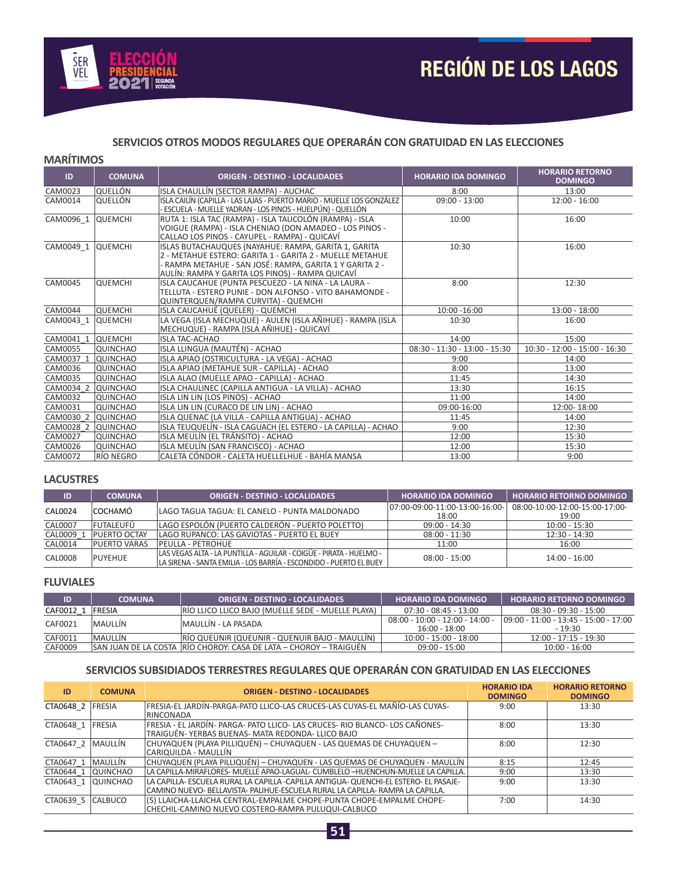

# **SERVICIOS OTROS MODOS REGULARES QUE OPERARÁN CON GRATUIDAD EN LAS ELECCIONES**

#### **MARÍTIMOS**

| ID                | <b>COMUNA</b>   | <b>ORIGEN - DESTINO - LOCALIDADES</b>                                                                                                                                                                                            | <b>HORARIO IDA DOMINGO</b>      | <b>HORARIO RETORNO</b><br><b>DOMINGO</b> |
|-------------------|-----------------|----------------------------------------------------------------------------------------------------------------------------------------------------------------------------------------------------------------------------------|---------------------------------|------------------------------------------|
| CAM0023           | OUELLÓN         | ISLA CHAULLÍN (SECTOR RAMPA) - AUCHAC                                                                                                                                                                                            | 8:00                            | 13:00                                    |
| CAM0014           | QUELLÓN         | ISLA CAILÍN (CAPILLA - LAS LAJAS - PUERTO MARIO - MUELLE LOS GONZÁLEZ<br>ESCUELA - MUELLE YADRAN - LOS PINOS - HUELPÚN) - QUELLÓN                                                                                                | $09:00 - 13:00$                 | $12:00 - 16:00$                          |
| CAM0096 1         | <b>QUEMCHI</b>  | RUTA 1: ISLA TAC (RAMPA) - ISLA TAUCOLÓN (RAMPA) - ISLA<br>VOIGUE (RAMPA) - ISLA CHENIAO (DON AMADEO - LOS PINOS -<br>CALLAO LOS PINOS - CAYUPEL - RAMPA) - QUICAVÍ                                                              | 10:00                           | 16:00                                    |
| CAM0049 1         | <b>QUEMCHI</b>  | ISLAS BUTACHAUQUES (NAYAHUE: RAMPA, GARITA 1, GARITA<br>2 - METAHUE ESTERO: GARITA 1 - GARITA 2 - MUELLE METAHUE<br>- RAMPA METAHUE - SAN JOSÉ: RAMPA, GARITA 1 Y GARITA 2 -<br>AULÍN: RAMPA Y GARITA LOS PINOS) - RAMPA QUICAVÍ | 10:30                           | 16:00                                    |
| CAM0045           | <b>QUEMCHI</b>  | ISLA CAUCAHUE (PUNTA PESCUEZO - LA NINA - LA LAURA -<br>TELLUTA - ESTERO PUNIE - DON ALFONSO - VITO BAHAMONDE -<br>QUINTERQUEN/RAMPA CURVITA) - QUEMCHI                                                                          | 8:00                            | 12:30                                    |
| CAM0044           | <b>QUEMCHI</b>  | ISLA CAUCAHUÉ (QUELER) - QUEMCHI                                                                                                                                                                                                 | 10:00 -16:00                    | $13:00 - 18:00$                          |
| CAM0043 1         | <b>QUEMCHI</b>  | LA VEGA (ISLA MECHUQUE) - AULEN (ISLA AÑIHUE) - RAMPA (ISLA<br>MECHUQUE) - RAMPA (ISLA AÑIHUE) - QUICAVÍ                                                                                                                         | 10:30                           | 16:00                                    |
| CAM0041 1 QUEMCHI |                 | <b>ISLA TAC-ACHAO</b>                                                                                                                                                                                                            | 14:00                           | 15:00                                    |
| CAM0055           | <b>QUINCHAO</b> | ISLA LLINGUA (MAUTÉN) - ACHAO                                                                                                                                                                                                    | $08:30 - 11:30 - 13:00 - 15:30$ | $10:30 - 12:00 - 15:00 - 16:30$          |
| CAM0037 1         | <b>QUINCHAO</b> | ISLA APIAO (OSTRICULTURA - LA VEGA) - ACHAO                                                                                                                                                                                      | 9:00                            | 14:00                                    |
| CAM0036           | <b>QUINCHAO</b> | ISLA APIAO (METAHUE SUR - CAPILLA) - ACHAO                                                                                                                                                                                       | 8:00                            | 13:00                                    |
| CAM0035           | <b>QUINCHAO</b> | ISLA ALAO (MUELLE APAO - CAPILLA) - ACHAO                                                                                                                                                                                        | 11:45                           | 14:30                                    |
| CAM0034 2         | <b>QUINCHAO</b> | ISLA CHAULINEC (CAPILLA ANTIGUA - LA VILLA) - ACHAO                                                                                                                                                                              | 13:30                           | 16:15                                    |
| CAM0032           | QUINCHAO        | ISLA LIN LIN (LOS PINOS) - ACHAO                                                                                                                                                                                                 | 11:00                           | 14:00                                    |
| CAM0031           | <b>QUINCHAO</b> | ISLA LIN LIN (CURACO DE LIN LIN) - ACHAO                                                                                                                                                                                         | 09:00-16:00                     | 12:00-18:00                              |
| CAM0030 2         | <b>QUINCHAO</b> | ISLA QUENAC (LA VILLA - CAPILLA ANTIGUA) - ACHAO                                                                                                                                                                                 | 11:45                           | 14:00                                    |
| CAM0028 2         | <b>QUINCHAO</b> | ISLA TEUQUELÍN - ISLA CAGUACH (EL ESTERO - LA CAPILLA) - ACHAO                                                                                                                                                                   | 9:00                            | 12:30                                    |
| <b>CAM0027</b>    | QUINCHAO        | ISLA MEULÍN (EL TRÁNSITO) - ACHAO                                                                                                                                                                                                | 12:00                           | 15:30                                    |
| CAM0026           | <b>QUINCHAO</b> | ISLA MEULÍN (SAN FRANCISCO) - ACHAO                                                                                                                                                                                              | 12:00                           | 15:30                                    |
| CAM0072           | RÍO NEGRO       | CALETA CÓNDOR - CALETA HUELLELHUE - BAHÍA MANSA                                                                                                                                                                                  | 13:00                           | 9:00                                     |

#### **LACUSTRES**

| ID             | <b>COMUNA</b>       | <b>ORIGEN - DESTINO - LOCALIDADES</b>                                                                                                     | <b>HORARIO IDA DOMINGO</b>     | <b>HORARIO RETORNO DOMINGO</b> |
|----------------|---------------------|-------------------------------------------------------------------------------------------------------------------------------------------|--------------------------------|--------------------------------|
| CAL0024        | <b>COCHAMÓ</b>      | LAGO TAGUA TAGUA: EL CANELO - PUNTA MALDONADO                                                                                             | 07:00-09:00-11:00-13:00-16:00- | 08:00-10:00-12:00-15:00-17:00- |
| <b>CAL0007</b> | FUTALEUFÚ           | LAGO ESPOLÓN (PUERTO CALDERÓN - PUERTO POLETTO)                                                                                           | 18:00<br>$09:00 - 14:30$       | 19:00<br>$10:00 - 15:30$       |
| CAL0009        | <b>PUERTO OCTAY</b> | LAGO RUPANCO: LAS GAVIOTAS - PUERTO EL BUEY                                                                                               | $08:00 - 11:30$                | 12:30 - 14:30                  |
| CAL0014        | <b>PUERTO VARAS</b> | <b>PEULLA - PETROHUE</b>                                                                                                                  | 11:00                          | 16:00                          |
| CAL0008        | PUYEHUE             | LAS VEGAS ALTA - LA PUNTILLA - AGUILAR - COIGÜE - PIRATA - HUELMO -<br>LA SIRENA - SANTA EMILIA - LOS BARRÍA - ESCONDIDO - PUERTO EL BUEY | $08:00 - 15:00$                | 14:00 - 16:00                  |

#### **FLUVIALES**

| ID                 | <b>COMUNA</b>  | <b>ORIGEN - DESTINO - LOCALIDADES</b>                               | <b>HORARIO IDA DOMINGO</b>                           | <b>HORARIO RETORNO DOMINGO</b>                    |
|--------------------|----------------|---------------------------------------------------------------------|------------------------------------------------------|---------------------------------------------------|
| CAF0012 1   FRESIA |                | IRIO LLICO LLICO BAJO (MUELLE SEDE - MUELLE PLAYA)                  | 07:30 - 08:45 - 13:00                                | $08:30 - 09:30 - 15:00$                           |
| CAF0021            | <b>MAULLIN</b> | MAULLÍN - LA PASADA                                                 | $08:00 - 10:00 - 12:00 - 14:00 -$<br>$16:00 - 18:00$ | 09:00 - 11:00 - 13:45 - 15:00 - 17:00<br>$-19:30$ |
| CAF0011            | <b>MAULLIN</b> | RÍO QUEUNIR (QUEUNIR - QUENUIR BAJO - MAULLÍN)                      | $10:00 - 15:00 - 18:00$                              | $12:00 - 17:15 - 19:30$                           |
| CAF0009            |                | ISAN JUAN DE LA COSTA IRIO CHOROY: CASA DE LATA – CHOROY – TRAIGUÉN | $09:00 - 15:00$                                      | $10:00 - 16:00$                                   |

### **SERVICIOS SUBSIDIADOS TERRESTRES REGULARES QUE OPERARÁN CON GRATUIDAD EN LAS ELECCIONES**

| ID                  | <b>COMUNA</b>   | <b>ORIGEN - DESTINO - LOCALIDADES</b>                                                                                                                                 | <b>HORARIO IDA</b><br><b>DOMINGO</b> | <b>HORARIO RETORNO</b><br><b>DOMINGO</b> |
|---------------------|-----------------|-----------------------------------------------------------------------------------------------------------------------------------------------------------------------|--------------------------------------|------------------------------------------|
| CTA0648 2 FRESIA    |                 | FRESIA-EL JARDÍN-PARGA-PATO LLICO-LAS CRUCES-LAS CUYAS-EL MAÑÍO-LAS CUYAS-<br>RINCONADA                                                                               | 9:00                                 | 13:30                                    |
| CTA0648 1 FRESIA    |                 | FRESIA - EL JARDÍN- PARGA- PATO LLICO- LAS CRUCES- RIO BLANCO- LOS CAÑONES-<br>TRAIGUÉN-YERBAS BUENAS-MATA REDONDA- LLICO BAJO                                        | 8:00                                 | 13:30                                    |
| CTA0647 2   MAULLÍN |                 | CHUYAQUEN (PLAYA PILLIQUÉN) - CHUYAQUEN - LAS QUEMAS DE CHUYAQUEN -<br>CARIQUILDA - MAULLÍN                                                                           | 8:00                                 | 12:30                                    |
| CTA0647 1           | <b>MAULLÍN</b>  | CHUYAQUEN (PLAYA PILLIQUÉN) - CHUYAQUEN - LAS QUEMAS DE CHUYAQUEN - MAULLÍN                                                                                           | 8:15                                 | 12:45                                    |
| CTA0644 1 QUINCHAO  |                 | LA CAPILLA-MIRAFLORES- MUELLE APAO-LAGUAL- CUMBLELO –HUENCHUN-MUELLE LA CAPILLA.                                                                                      | 9:00                                 | 13:30                                    |
| CTA0643 1           | <b>QUINCHAO</b> | LA CAPILLA- ESCUELA RURAL LA CAPILLA -CAPILLA ANTIGUA- QUENCHI-EL ESTERO- EL PASAJE-<br>CAMINO NUEVO- BELLAVISTA- PALIHUE-ESCUELA RURAL LA CAPILLA- RAMPA LA CAPILLA. | 9:00                                 | 13:30                                    |
| CTA0639 5 CALBUCO   |                 | (5) LLAICHA-LLAICHA CENTRAL-EMPALME CHOPE-PUNTA CHOPE-EMPALME CHOPE-<br>CHECHIL-CAMINO NUEVO COSTERO-RAMPA PULUQUI-CALBUCO                                            | 7:00                                 | 14:30                                    |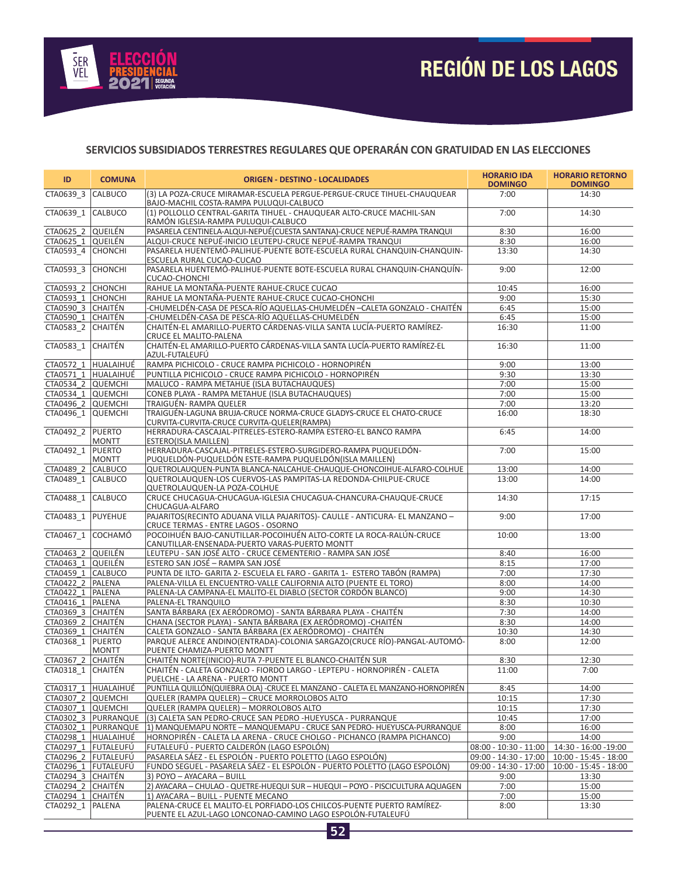

## **SERVICIOS SUBSIDIADOS TERRESTRES REGULARES QUE OPERARÁN CON GRATUIDAD EN LAS ELECCIONES**

| ID                 | <b>COMUNA</b>        | <b>ORIGEN - DESTINO - LOCALIDADES</b>                                                                                               | <b>HORARIO IDA</b><br><b>DOMINGO</b> | <b>HORARIO RETORNO</b><br><b>DOMINGO</b> |  |  |  |
|--------------------|----------------------|-------------------------------------------------------------------------------------------------------------------------------------|--------------------------------------|------------------------------------------|--|--|--|
| CTA0639_3 CALBUCO  |                      | (3) LA POZA-CRUCE MIRAMAR-ESCUELA PERGUE-PERGUE-CRUCE TIHUEL-CHAUQUEAR<br>BAJO-MACHIL COSTA-RAMPA PULUQUI-CALBUCO                   | 7:00                                 | 14:30                                    |  |  |  |
| CTA0639 1          | <b>CALBUCO</b>       | (1) POLLOLLO CENTRAL-GARITA TIHUEL - CHAUQUEAR ALTO-CRUCE MACHIL-SAN<br>RAMÓN IGLESIA-RAMPA PULUQUI-CALBUCO                         | 7:00                                 | 14:30                                    |  |  |  |
| CTA0625 2 QUEILÉN  |                      | PASARELA CENTINELA-ALQUI-NEPUÉ(CUESTA SANTANA)-CRUCE NEPUÉ-RAMPA TRANQUI                                                            | 8:30                                 | 16:00                                    |  |  |  |
| CTA0625 1 QUEILÉN  |                      | ALQUI-CRUCE NEPUÉ-INICIO LEUTEPU-CRUCE NEPUÉ-RAMPA TRANQUI                                                                          | 8:30                                 | 16:00                                    |  |  |  |
| CTA0593_4 CHONCHI  |                      | PASARELA HUENTEMÓ-PALIHUE-PUENTE BOTE-ESCUELA RURAL CHANQUIN-CHANQUIN-<br>ESCUELA RURAL CUCAO-CUCAO                                 | 13:30                                | 14:30                                    |  |  |  |
| CTA0593 3 CHONCHI  |                      | PASARELA HUENTEMÓ-PALIHUE-PUENTE BOTE-ESCUELA RURAL CHANQUIN-CHANQUÍN-<br><b>CUCAO-CHONCHI</b>                                      | 9:00                                 | 12:00                                    |  |  |  |
| CTA0593 2 CHONCHI  |                      | RAHUE LA MONTAÑA-PUENTE RAHUE-CRUCE CUCAO                                                                                           | 10:45                                | 16:00                                    |  |  |  |
| CTA0593 1 CHONCHI  |                      | RAHUE LA MONTAÑA-PUENTE RAHUE-CRUCE CUCAO-CHONCHI                                                                                   | 9:00                                 | 15:30                                    |  |  |  |
| CTA0590 3 CHAITÉN  |                      | -CHUMELDÉN-CASA DE PESCA-RÍO AQUELLAS-CHUMELDÉN –CALETA GONZALO - CHAITÉN                                                           | 6:45                                 | 15:00                                    |  |  |  |
| CTA0590 1 CHAITÉN  |                      | -CHUMELDÉN-CASA DE PESCA-RÍO AQUELLAS-CHUMELDÉN                                                                                     | 6:45                                 | 15:00                                    |  |  |  |
| CTA0583 2 CHAITÉN  |                      | CHAITÉN-EL AMARILLO-PUERTO CÁRDENAS-VILLA SANTA LUCÍA-PUERTO RAMÍREZ-<br>CRUCE EL MALITO-PALENA                                     | 16:30                                | 11:00                                    |  |  |  |
| CTA0583 1 CHAITÉN  |                      | CHAITÉN-EL AMARILLO-PUERTO CÁRDENAS-VILLA SANTA LUCÍA-PUERTO RAMÍREZ-EL<br>AZUL-FUTALEUFÚ                                           | 16:30                                | 11:00                                    |  |  |  |
|                    | CTA0572 1 HUALAIHUÉ  | RAMPA PICHICOLO - CRUCE RAMPA PICHICOLO - HORNOPIRÉN                                                                                | 9:00                                 | 13:00                                    |  |  |  |
|                    | CTA0571 1 HUALAIHUÉ  | PUNTILLA PICHICOLO - CRUCE RAMPA PICHICOLO - HORNOPIRÉN                                                                             | 9:30                                 | 13:30                                    |  |  |  |
| CTA0534 2 QUEMCHI  |                      | MALUCO - RAMPA METAHUE (ISLA BUTACHAUQUES)                                                                                          | 7:00                                 | 15:00                                    |  |  |  |
| CTA0534 1 QUEMCHI  |                      | CONEB PLAYA - RAMPA METAHUE (ISLA BUTACHAUQUES)                                                                                     | 7:00                                 | 15:00                                    |  |  |  |
| CTA0496_2 QUEMCHI  |                      | TRAIGUÉN- RAMPA QUELER                                                                                                              | 7:00                                 | 13:20                                    |  |  |  |
| CTA0496 1 QUEMCHI  |                      | TRAIGUÉN-LAGUNA BRUJA-CRUCE NORMA-CRUCE GLADYS-CRUCE EL CHATO-CRUCE<br>CURVITA-CURVITA-CRUCE CURVITA-QUELER(RAMPA)                  | 16:00                                | 18:30                                    |  |  |  |
| CTA0492 2 PUERTO   | <b>MONTT</b>         | HERRADURA-CASCAJAL-PITRELES-ESTERO-RAMPA ESTERO-EL BANCO RAMPA<br>ESTERO(ISLA MAILLEN)                                              | 6:45                                 | 14:00                                    |  |  |  |
| CTA0492 1 PUERTO   | <b>MONTT</b>         | HERRADURA-CASCAJAL-PITRELES-ESTERO-SURGIDERO-RAMPA PUQUELDÓN-<br>PUQUELDÓN-PUQUELDÓN ESTE-RAMPA PUQUELDÓN(ISLA MAILLEN)             | 7:00                                 | 15:00                                    |  |  |  |
| CTA0489 2 CALBUCO  |                      | QUETROLAUQUEN-PUNTA BLANCA-NALCAHUE-CHAUQUE-CHONCOIHUE-ALFARO-COLHUE                                                                | 13:00                                | 14:00                                    |  |  |  |
| CTA0489 1 CALBUCO  |                      | QUETROLAUQUEN-LOS CUERVOS-LAS PAMPITAS-LA REDONDA-CHILPUE-CRUCE<br>QUETROLAUQUEN-LA POZA-COLHUE                                     | 13:00                                | 14:00                                    |  |  |  |
| CTA0488_1 CALBUCO  |                      | CRUCE CHUCAGUA-CHUCAGUA-IGLESIA CHUCAGUA-CHANCURA-CHAUQUE-CRUCE<br>CHUCAGUA-ALFARO                                                  | 14:30                                | 17:15                                    |  |  |  |
| CTA0483_1 PUYEHUE  |                      | PAJARITOS(RECINTO ADUANA VILLA PAJARITOS)- CAULLE - ANTICURA- EL MANZANO -<br>CRUCE TERMAS - ENTRE LAGOS - OSORNO                   | 9:00                                 | 17:00                                    |  |  |  |
| CTA0467_1 COCHAMÓ  |                      | POCOIHUÉN BAJO-CANUTILLAR-POCOIHUÉN ALTO-CORTE LA ROCA-RALÚN-CRUCE<br>CANUTILLAR-ENSENADA-PUERTO VARAS-PUERTO MONTT                 | 10:00                                | 13:00                                    |  |  |  |
| CTA0463 2 QUEILÉN  |                      | LEUTEPU - SAN JOSÉ ALTO - CRUCE CEMENTERIO - RAMPA SAN JOSÉ                                                                         | 8:40                                 | 16:00                                    |  |  |  |
| CTA0463 1 QUEILÉN  |                      | ESTERO SAN JOSÉ - RAMPA SAN JOSÉ                                                                                                    | 8:15                                 | 17:00                                    |  |  |  |
| CTA0459 1 CALBUCO  |                      | PUNTA DE ILTO- GARITA 2- ESCUELA EL FARO - GARITA 1- ESTERO TABÓN (RAMPA)                                                           | 7:00                                 | 17:30                                    |  |  |  |
| CTA0422 2 PALENA   |                      | PALENA-VILLA EL ENCUENTRO-VALLE CALIFORNIA ALTO (PUENTE EL TORO)                                                                    | 8:00                                 | 14:00                                    |  |  |  |
| CTA0422 1 PALENA   |                      | PALENA-LA CAMPANA-EL MALITO-EL DIABLO (SECTOR CORDÓN BLANCO)                                                                        | 9:00                                 | 14:30                                    |  |  |  |
| CTA0416 1   PALENA |                      | PALENA-EL TRANQUILO                                                                                                                 | 8:30                                 | 10:30                                    |  |  |  |
| CTA0369 3 CHAITÉN  |                      | SANTA BÁRBARA (EX AERÓDROMO) - SANTA BÁRBARA PLAYA - CHAITÉN                                                                        | 7:30                                 | 14:00                                    |  |  |  |
| CTA0369 2 CHAITÉN  |                      | CHANA (SECTOR PLAYA) - SANTA BÁRBARA (EX AERÓDROMO) -CHAITÉN                                                                        | 8:30                                 | 14:00                                    |  |  |  |
| CTA0369 1 CHAITÉN  |                      | CALETA GONZALO - SANTA BÁRBARA (EX AERÓDROMO) - CHAITÉN                                                                             | 10:30                                | 14:30                                    |  |  |  |
| CTA0368_1 PUERTO   | <b>MONTT</b>         | PARQUE ALERCE ANDINO(ENTRADA)-COLONIA SARGAZO(CRUCE RÍO)-PANGAL-AUTOMÓ-<br>PUENTE CHAMIZA-PUERTO MONTT                              | 8:00                                 | 12:00                                    |  |  |  |
| CTA0367_2 CHAITÉN  |                      | CHAITÉN NORTE(INICIO)-RUTA 7-PUENTE EL BLANCO-CHAITÉN SUR                                                                           | 8:30                                 | 12:30                                    |  |  |  |
| CTA0318_1 CHAITÉN  |                      | CHAITÉN - CALETA GONZALO - FIORDO LARGO - LEPTEPU - HORNOPIRÉN - CALETA<br>PUELCHE - LA ARENA - PUERTO MONTT                        | 11:00                                | 7:00                                     |  |  |  |
|                    | CTA0317 1 HUALAIHUÉ  | PUNTILLA QUILLÓN(QUIEBRA OLA) - CRUCE EL MANZANO - CALETA EL MANZANO-HORNOPIRÉN                                                     | 8:45                                 | 14:00                                    |  |  |  |
| CTA0307 2 QUEMCHI  |                      | QUELER (RAMPA QUELER) - CRUCE MORROLOBOS ALTO                                                                                       | 10:15                                | 17:30                                    |  |  |  |
| CTA0307 1 QUEMCHI  |                      | QUELER (RAMPA QUELER) - MORROLOBOS ALTO                                                                                             | 10:15                                | 17:30                                    |  |  |  |
|                    | CTA0302 3 PURRANQUE  | (3) CALETA SAN PEDRO-CRUCE SAN PEDRO -HUEYUSCA - PURRANQUE                                                                          | 10:45                                | 17:00                                    |  |  |  |
|                    | CTA0302 1  PURRANQUE | 1) MANQUEMAPU NORTE - MANQUEMAPU - CRUCE SAN PEDRO- HUEYUSCA-PURRANQUE                                                              | 8:00                                 | 16:00                                    |  |  |  |
|                    | CTA0298 1 HUALAIHUÉ  | HORNOPIRÉN - CALETA LA ARENA - CRUCE CHOLGO - PICHANCO (RAMPA PICHANCO)                                                             | 9:00                                 | 14:00                                    |  |  |  |
|                    | CTA0297 1 FUTALEUFÚ  | FUTALEUFÚ - PUERTO CALDERÓN (LAGO ESPOLÓN)                                                                                          | $08:00 - 10:30 - 11:00$              | 14:30 - 16:00 - 19:00                    |  |  |  |
|                    | CTA0296 2 FUTALEUFÚ  | PASARELA SÁEZ - EL ESPOLÓN - PUERTO POLETTO (LAGO ESPOLÓN)                                                                          | 09:00 - 14:30 - 17:00                | $10:00 - 15:45 - 18:00$                  |  |  |  |
|                    | CTA0296 1 FUTALEUFÚ  | FUNDO SEGUEL - PASARELA SÁEZ - EL ESPOLÓN - PUERTO POLETTO (LAGO ESPOLÓN)                                                           | $09:00 - 14:30 - 17:00$              | $10:00 - 15:45 - 18:00$                  |  |  |  |
| CTA0294 3 CHAITÉN  |                      | 3) POYO - AYACARA - BUILL                                                                                                           | 9:00                                 | 13:30                                    |  |  |  |
| CTA0294 2 CHAITÉN  |                      | 2) AYACARA - CHULAO - QUETRE-HUEQUI SUR - HUEQUI - POYO - PISCICULTURA AQUAGEN                                                      | 7:00                                 | 15:00                                    |  |  |  |
| CTA0294 1 CHAITÉN  |                      | 1) AYACARA - BUILL - PUENTE MECANO                                                                                                  | 7:00                                 | 15:00                                    |  |  |  |
| CTA0292 1   PALENA |                      | PALENA-CRUCE EL MALITO-EL PORFIADO-LOS CHILCOS-PUENTE PUERTO RAMÍREZ-<br>PUENTE EL AZUL-LAGO LONCONAO-CAMINO LAGO ESPOLÓN-FUTALEUFÚ | 8:00                                 | 13:30                                    |  |  |  |
| 52                 |                      |                                                                                                                                     |                                      |                                          |  |  |  |